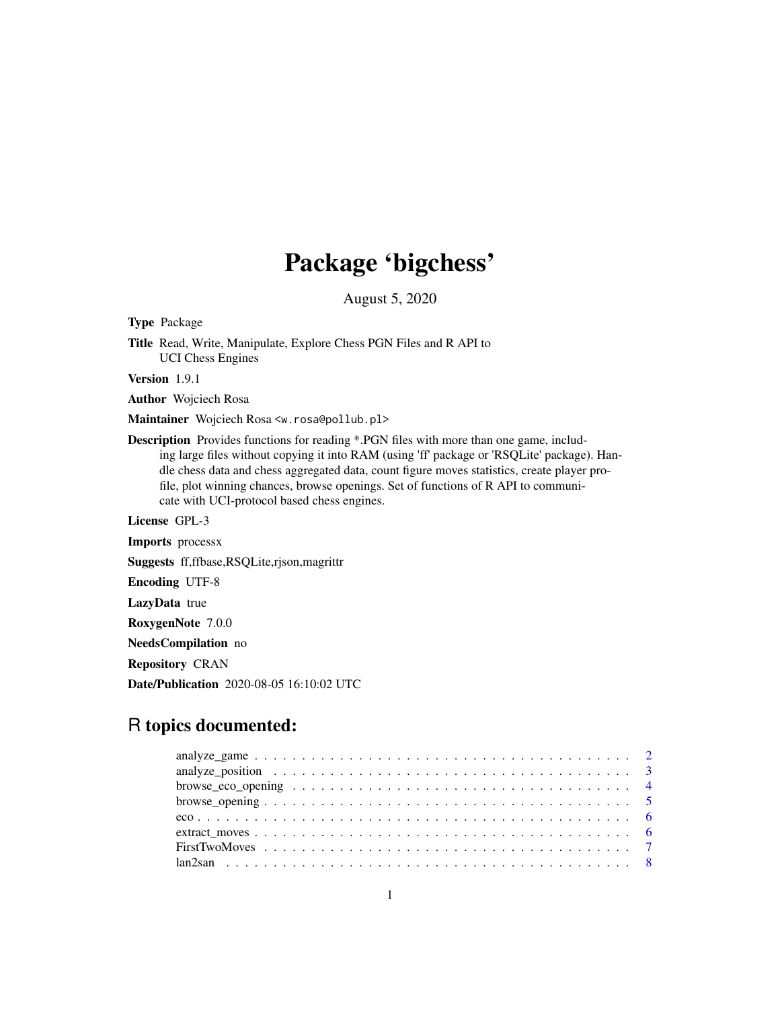# Package 'bigchess'

August 5, 2020

Type Package

Title Read, Write, Manipulate, Explore Chess PGN Files and R API to UCI Chess Engines

Version 1.9.1

Author Wojciech Rosa

Maintainer Wojciech Rosa <w.rosa@pollub.pl>

Description Provides functions for reading \*.PGN files with more than one game, including large files without copying it into RAM (using 'ff' package or 'RSQLite' package). Handle chess data and chess aggregated data, count figure moves statistics, create player profile, plot winning chances, browse openings. Set of functions of R API to communicate with UCI-protocol based chess engines.

License GPL-3

Imports processx

Suggests ff,ffbase,RSQLite,rjson,magrittr

Encoding UTF-8

LazyData true

RoxygenNote 7.0.0

NeedsCompilation no

Repository CRAN

Date/Publication 2020-08-05 16:10:02 UTC

# R topics documented: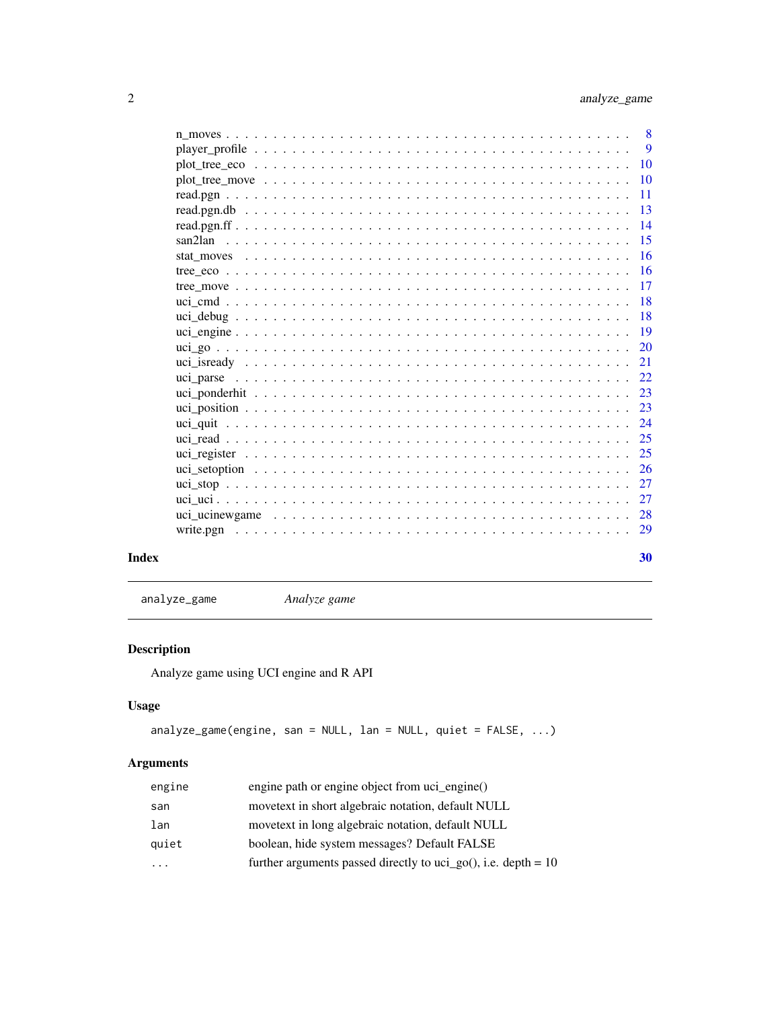<span id="page-1-0"></span>

| Index | 30 |
|-------|----|

analyze\_game *Analyze game*

# Description

Analyze game using UCI engine and R API

# Usage

```
analyze_game(engine, san = NULL, lan = NULL, quiet = FALSE, ...)
```

| engine                  | engine path or engine object from uci_engine()                   |
|-------------------------|------------------------------------------------------------------|
| san                     | movetext in short algebraic notation, default NULL               |
| lan                     | movetext in long algebraic notation, default NULL                |
| quiet                   | boolean, hide system messages? Default FALSE                     |
| $\cdot$ $\cdot$ $\cdot$ | further arguments passed directly to uci_go(), i.e. depth = $10$ |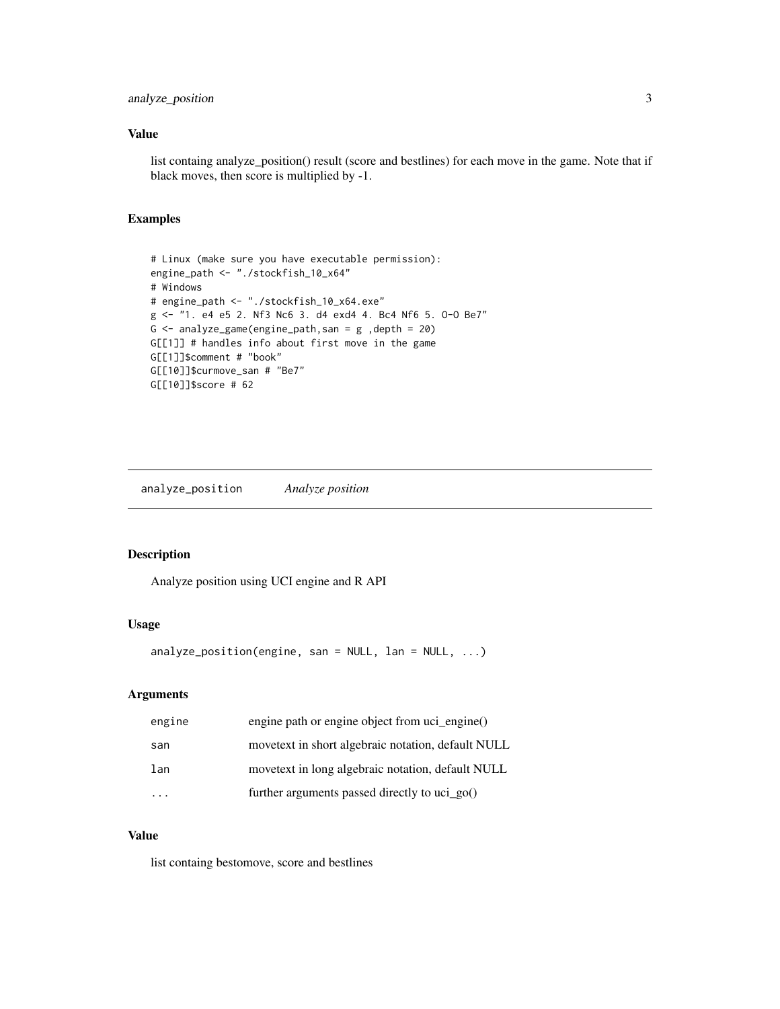### <span id="page-2-0"></span>analyze\_position 3

#### Value

list containg analyze\_position() result (score and bestlines) for each move in the game. Note that if black moves, then score is multiplied by -1.

### Examples

```
# Linux (make sure you have executable permission):
engine_path <- "./stockfish_10_x64"
# Windows
# engine_path <- "./stockfish_10_x64.exe"
g <- "1. e4 e5 2. Nf3 Nc6 3. d4 exd4 4. Bc4 Nf6 5. O-O Be7"
G \leq analyze_game(engine_path,san = g ,depth = 20)
G[[1]] # handles info about first move in the game
G[[1]]$comment # "book"
G[[10]]$curmove_san # "Be7"
G[[10]]$score # 62
```
analyze\_position *Analyze position*

#### Description

Analyze position using UCI engine and R API

### Usage

analyze\_position(engine, san = NULL, lan = NULL,  $\ldots$ )

#### Arguments

| engine | engine path or engine object from uci_engine()     |
|--------|----------------------------------------------------|
| san    | movetext in short algebraic notation, default NULL |
| lan    | movetext in long algebraic notation, default NULL  |
|        | further arguments passed directly to uci $\gamma$  |

# Value

list containg bestomove, score and bestlines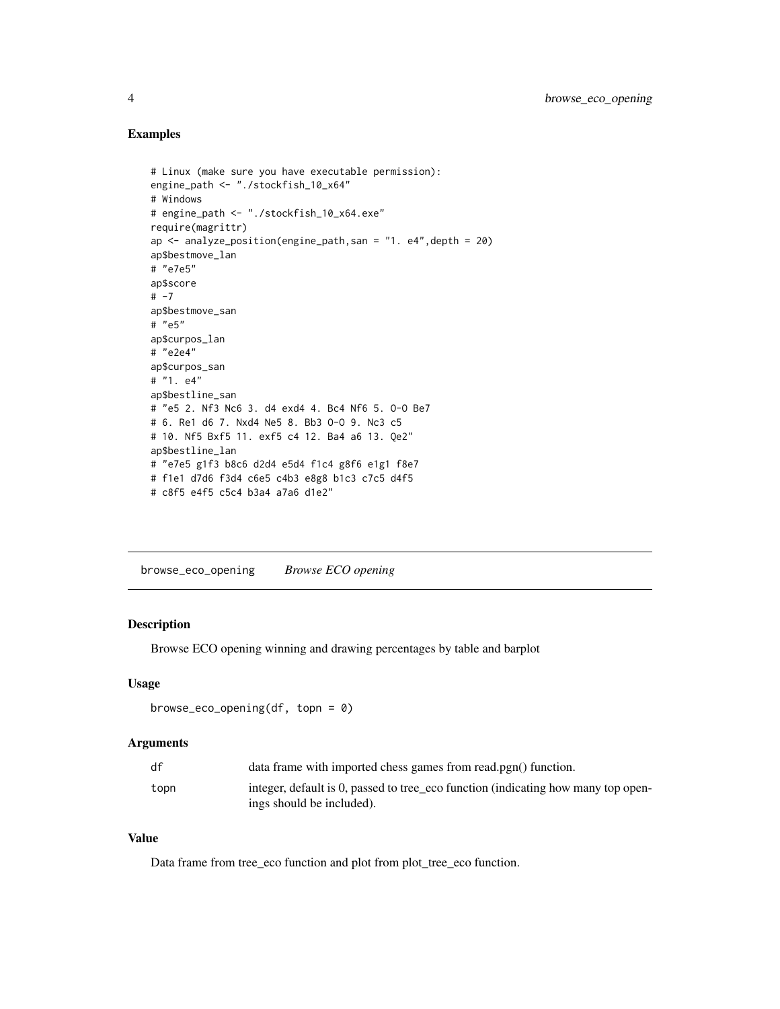#### <span id="page-3-0"></span>Examples

```
# Linux (make sure you have executable permission):
engine_path <- "./stockfish_10_x64"
# Windows
# engine_path <- "./stockfish_10_x64.exe"
require(magrittr)
ap \le - analyze_position(engine_path, san = "1. e4", depth = 20)
ap$bestmove_lan
# "e7e5"
ap$score
# -7
ap$bestmove_san
# "e5"
ap$curpos_lan
# "e2e4"
ap$curpos_san
# "1. e4"
ap$bestline_san
# "e5 2. Nf3 Nc6 3. d4 exd4 4. Bc4 Nf6 5. O-O Be7
# 6. Re1 d6 7. Nxd4 Ne5 8. Bb3 O-O 9. Nc3 c5
# 10. Nf5 Bxf5 11. exf5 c4 12. Ba4 a6 13. Qe2"
ap$bestline_lan
# "e7e5 g1f3 b8c6 d2d4 e5d4 f1c4 g8f6 e1g1 f8e7
# f1e1 d7d6 f3d4 c6e5 c4b3 e8g8 b1c3 c7c5 d4f5
# c8f5 e4f5 c5c4 b3a4 a7a6 d1e2"
```
browse\_eco\_opening *Browse ECO opening*

#### Description

Browse ECO opening winning and drawing percentages by table and barplot

#### Usage

```
browse_eco_opening(df, topn = 0)
```
#### Arguments

| df   | data frame with imported chess games from read.pgn() function.                                                 |
|------|----------------------------------------------------------------------------------------------------------------|
| topn | integer, default is 0, passed to tree_eco function (indicating how many top open-<br>ings should be included). |

## Value

Data frame from tree\_eco function and plot from plot\_tree\_eco function.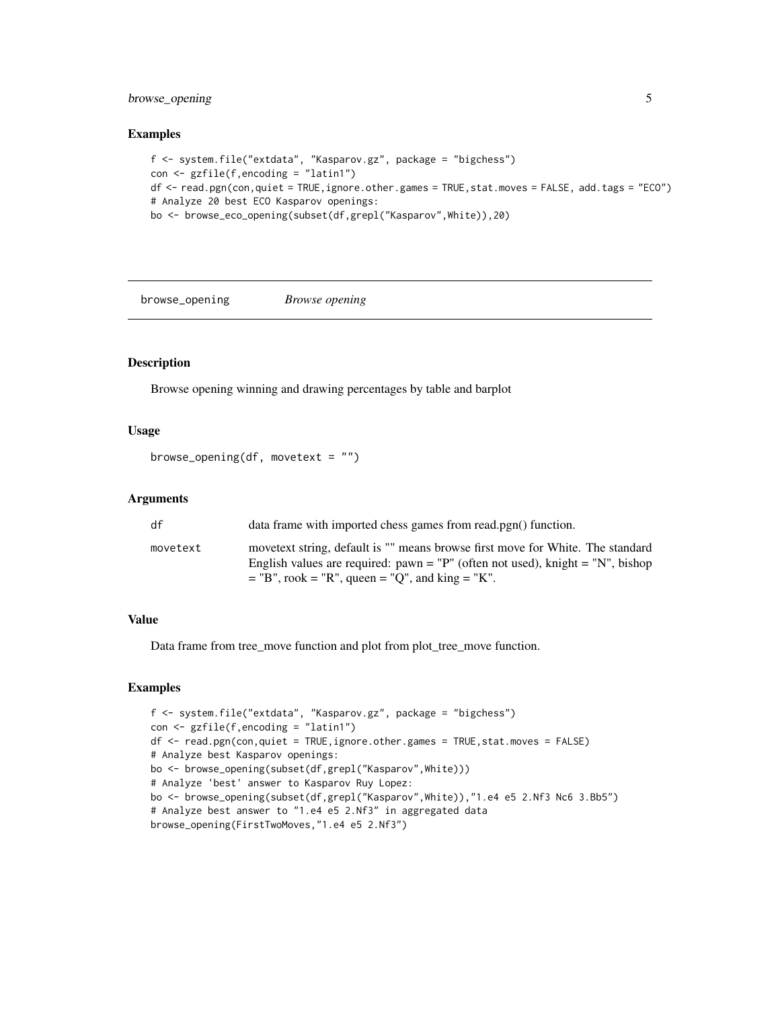### <span id="page-4-0"></span>browse\_opening 5

#### Examples

```
f <- system.file("extdata", "Kasparov.gz", package = "bigchess")
con <- gzfile(f,encoding = "latin1")
df <- read.pgn(con,quiet = TRUE,ignore.other.games = TRUE,stat.moves = FALSE, add.tags = "ECO")
# Analyze 20 best ECO Kasparov openings:
bo <- browse_eco_opening(subset(df,grepl("Kasparov",White)),20)
```
browse\_opening *Browse opening*

#### Description

Browse opening winning and drawing percentages by table and barplot

#### Usage

```
browse_opening(df, movetext = ")
```
### Arguments

| df       | data frame with imported chess games from read.pgn() function.                 |
|----------|--------------------------------------------------------------------------------|
| movetext | movetext string, default is "" means browse first move for White. The standard |
|          | English values are required: pawn = "P" (often not used), knight = "N", bishop |
|          | $=$ "B", rook = "R", queen = "Q", and king = "K".                              |

#### Value

Data frame from tree\_move function and plot from plot\_tree\_move function.

```
f <- system.file("extdata", "Kasparov.gz", package = "bigchess")
con <- gzfile(f,encoding = "latin1")
df <- read.pgn(con,quiet = TRUE,ignore.other.games = TRUE,stat.moves = FALSE)
# Analyze best Kasparov openings:
bo <- browse_opening(subset(df,grepl("Kasparov",White)))
# Analyze 'best' answer to Kasparov Ruy Lopez:
bo <- browse_opening(subset(df,grepl("Kasparov",White)),"1.e4 e5 2.Nf3 Nc6 3.Bb5")
# Analyze best answer to "1.e4 e5 2.Nf3" in aggregated data
browse_opening(FirstTwoMoves,"1.e4 e5 2.Nf3")
```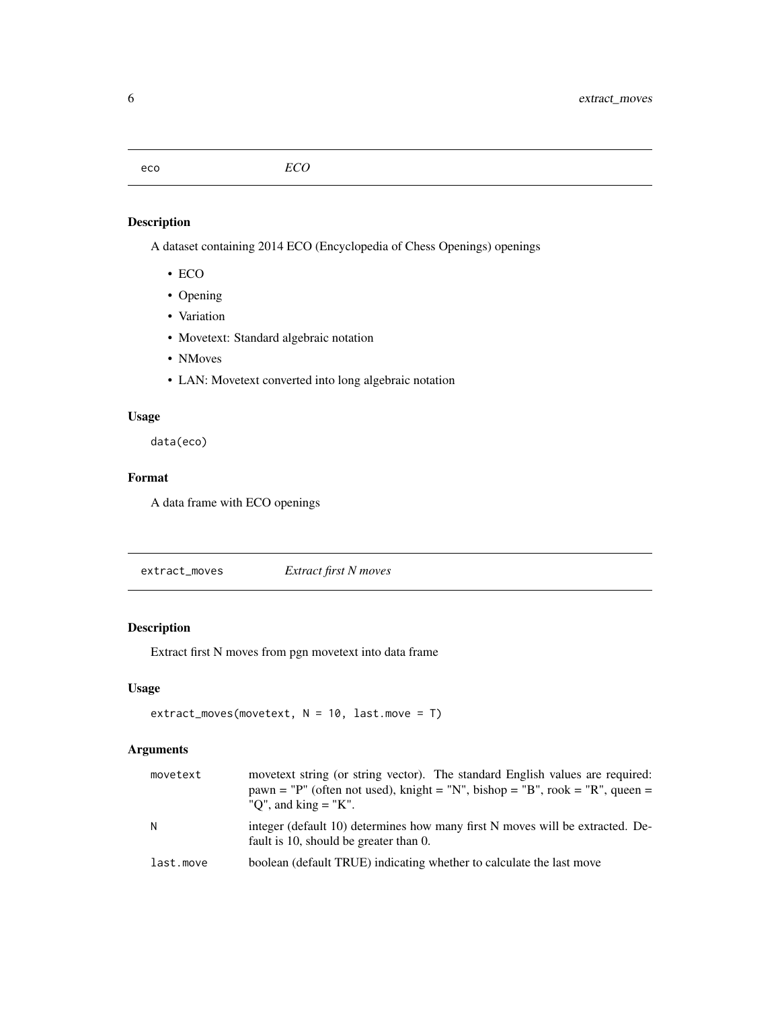<span id="page-5-0"></span>A dataset containing 2014 ECO (Encyclopedia of Chess Openings) openings

- ECO
- Opening
- Variation
- Movetext: Standard algebraic notation
- NMoves
- LAN: Movetext converted into long algebraic notation

#### Usage

data(eco)

#### Format

A data frame with ECO openings

extract\_moves *Extract first N moves*

# Description

Extract first N moves from pgn movetext into data frame

#### Usage

```
extract_moves(movetext, N = 10, last.move = T)
```

| movetext  | movetext string (or string vector). The standard English values are required:<br>$pawn = "P"$ (often not used), knight = "N", bishop = "B", rook = "R", queen =<br>"Q", and king $=$ "K". |
|-----------|-------------------------------------------------------------------------------------------------------------------------------------------------------------------------------------------|
| N         | integer (default 10) determines how many first N moves will be extracted. De-<br>fault is 10, should be greater than 0.                                                                   |
| last.move | boolean (default TRUE) indicating whether to calculate the last move                                                                                                                      |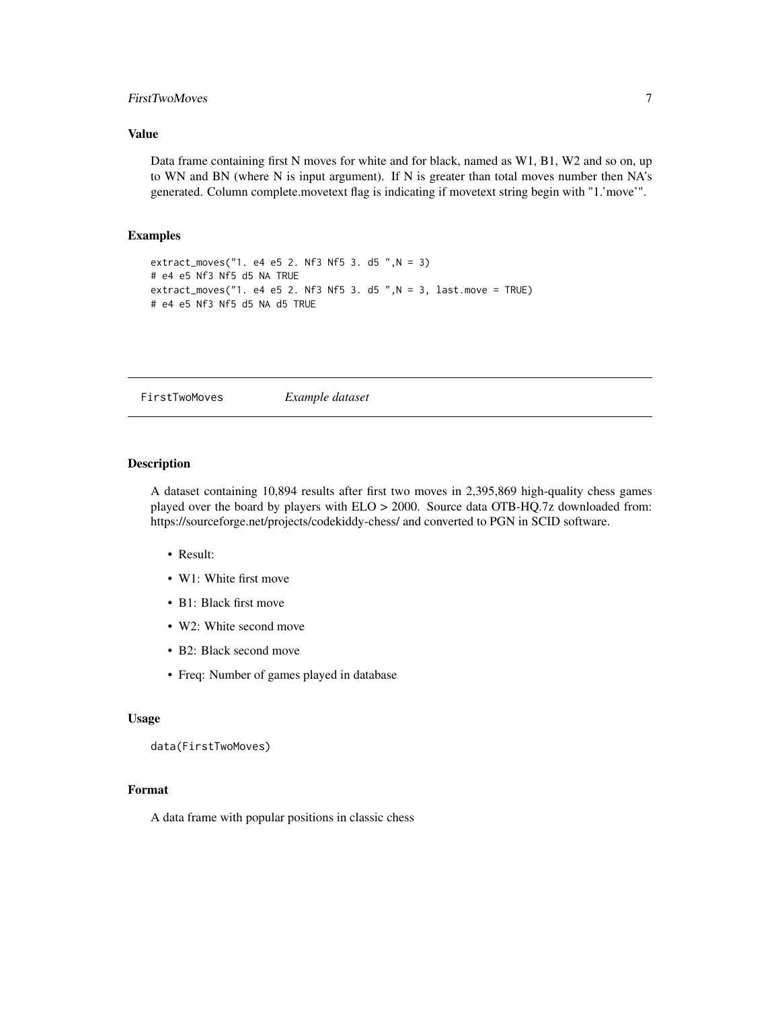#### <span id="page-6-0"></span>FirstTwoMoves 7

#### Value

Data frame containing first N moves for white and for black, named as W1, B1, W2 and so on, up to WN and BN (where N is input argument). If N is greater than total moves number then NA's generated. Column complete.movetext flag is indicating if movetext string begin with "1.'move'".

#### Examples

```
extract_moves("1. e4 e5 2. Nf3 Nf5 3. d5 ",N = 3)
# e4 e5 Nf3 Nf5 d5 NA TRUE
extract_moves("1. e4 e5 2. Nf3 Nf5 3. d5 ", N = 3, last.move = TRUE)
# e4 e5 Nf3 Nf5 d5 NA d5 TRUE
```
FirstTwoMoves *Example dataset*

#### Description

A dataset containing 10,894 results after first two moves in 2,395,869 high-quality chess games played over the board by players with ELO > 2000. Source data OTB-HQ.7z downloaded from: https://sourceforge.net/projects/codekiddy-chess/ and converted to PGN in SCID software.

- Result:
- W1: White first move
- B1: Black first move
- W2: White second move
- B2: Black second move
- Freq: Number of games played in database

### Usage

```
data(FirstTwoMoves)
```
#### Format

A data frame with popular positions in classic chess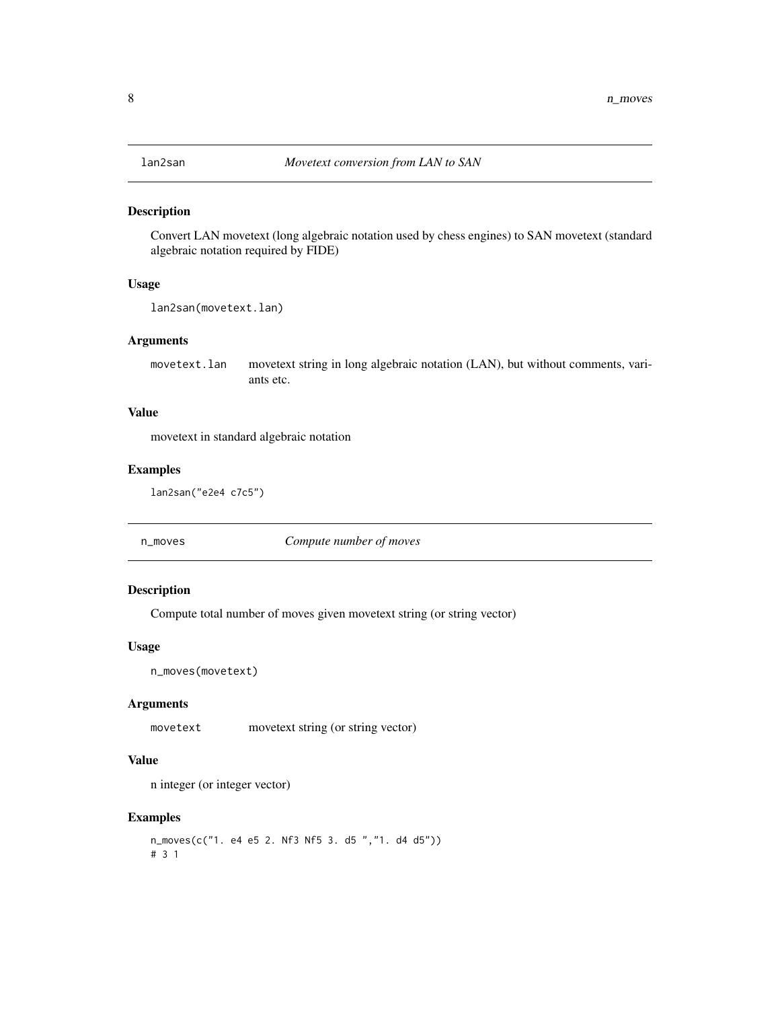<span id="page-7-0"></span>

Convert LAN movetext (long algebraic notation used by chess engines) to SAN movetext (standard algebraic notation required by FIDE)

#### Usage

```
lan2san(movetext.lan)
```
#### Arguments

movetext.lan movetext string in long algebraic notation (LAN), but without comments, variants etc.

#### Value

movetext in standard algebraic notation

#### Examples

lan2san("e2e4 c7c5")

n\_moves *Compute number of moves*

#### Description

Compute total number of moves given movetext string (or string vector)

#### Usage

n\_moves(movetext)

### Arguments

movetext movetext string (or string vector)

#### Value

n integer (or integer vector)

```
n_moves(c("1. e4 e5 2. Nf3 Nf5 3. d5 ","1. d4 d5"))
# 3 1
```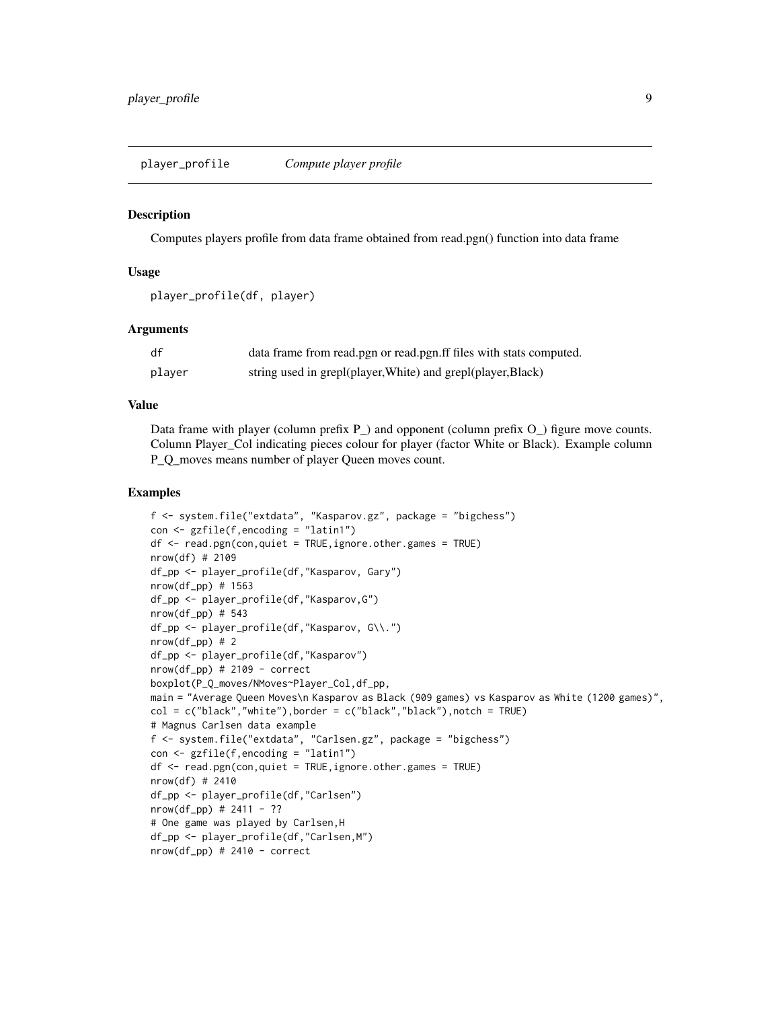<span id="page-8-0"></span>player\_profile *Compute player profile*

#### **Description**

Computes players profile from data frame obtained from read.pgn() function into data frame

#### Usage

```
player_profile(df, player)
```
#### Arguments

| df     | data frame from read.pgn or read.pgn.ff files with stats computed. |
|--------|--------------------------------------------------------------------|
| player | string used in grepl(player, White) and grepl(player, Black)       |

#### Value

Data frame with player (column prefix P\_) and opponent (column prefix O\_) figure move counts. Column Player\_Col indicating pieces colour for player (factor White or Black). Example column P\_Q\_moves means number of player Queen moves count.

```
f <- system.file("extdata", "Kasparov.gz", package = "bigchess")
con <- gzfile(f,encoding = "latin1")
df <- read.pgn(con,quiet = TRUE,ignore.other.games = TRUE)
nrow(df) # 2109
df_pp <- player_profile(df,"Kasparov, Gary")
nrow(df_pp) # 1563
df_pp <- player_profile(df,"Kasparov,G")
nrow(df_pp) # 543
df_pp <- player_profile(df,"Kasparov, G\\.")
nrow(df(pp) # 2)df_pp <- player_profile(df,"Kasparov")
nrow(df_pp) # 2109 - correct
boxplot(P_Q_moves/NMoves~Player_Col,df_pp,
main = "Average Queen Moves\n Kasparov as Black (909 games) vs Kasparov as White (1200 games)",
col = c("black", "white"), border = c("black", "black"), notch = TRUE)
# Magnus Carlsen data example
f <- system.file("extdata", "Carlsen.gz", package = "bigchess")
con <- gzfile(f,encoding = "latin1")
df <- read.pgn(con,quiet = TRUE,ignore.other.games = TRUE)
nrow(df) # 2410
df_pp <- player_profile(df,"Carlsen")
nrow(df_p p) # 2411 - ??
# One game was played by Carlsen,H
df_pp <- player_profile(df,"Carlsen,M")
nrow(df_p) # 2410 - correct
```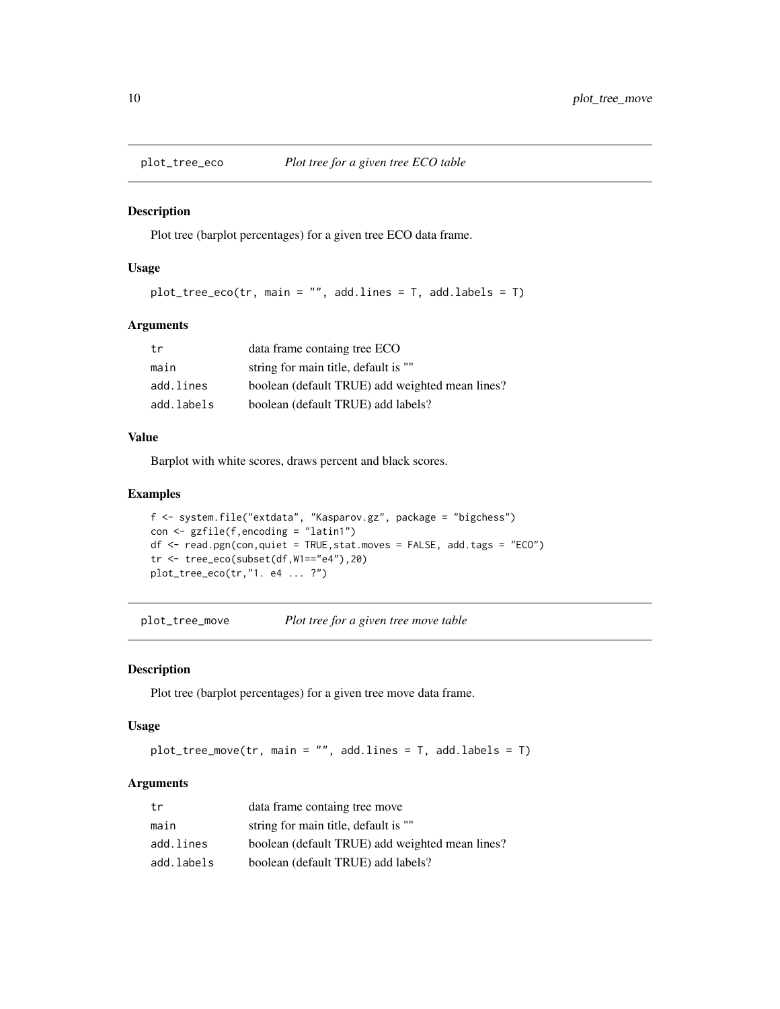<span id="page-9-0"></span>

Plot tree (barplot percentages) for a given tree ECO data frame.

#### Usage

```
plot_tree_eco(tr, main = "", add.lines = T, add.labels = T)
```
#### Arguments

| tr         | data frame containg tree ECO                    |
|------------|-------------------------------------------------|
| main       | string for main title, default is ""            |
| add.lines  | boolean (default TRUE) add weighted mean lines? |
| add.labels | boolean (default TRUE) add labels?              |

#### Value

Barplot with white scores, draws percent and black scores.

#### Examples

```
f <- system.file("extdata", "Kasparov.gz", package = "bigchess")
con <- gzfile(f,encoding = "latin1")
df <- read.pgn(con,quiet = TRUE,stat.moves = FALSE, add.tags = "ECO")
tr <- tree_eco(subset(df,W1=="e4"),20)
plot_tree_eco(tr,"1. e4 ... ?")
```
plot\_tree\_move *Plot tree for a given tree move table*

#### Description

Plot tree (barplot percentages) for a given tree move data frame.

#### Usage

```
plot_tree_move(tr, main = "", add.lines = T, add.labels = T)
```

| tr         | data frame containg tree move                   |
|------------|-------------------------------------------------|
| main       | string for main title, default is ""            |
| add.lines  | boolean (default TRUE) add weighted mean lines? |
| add.labels | boolean (default TRUE) add labels?              |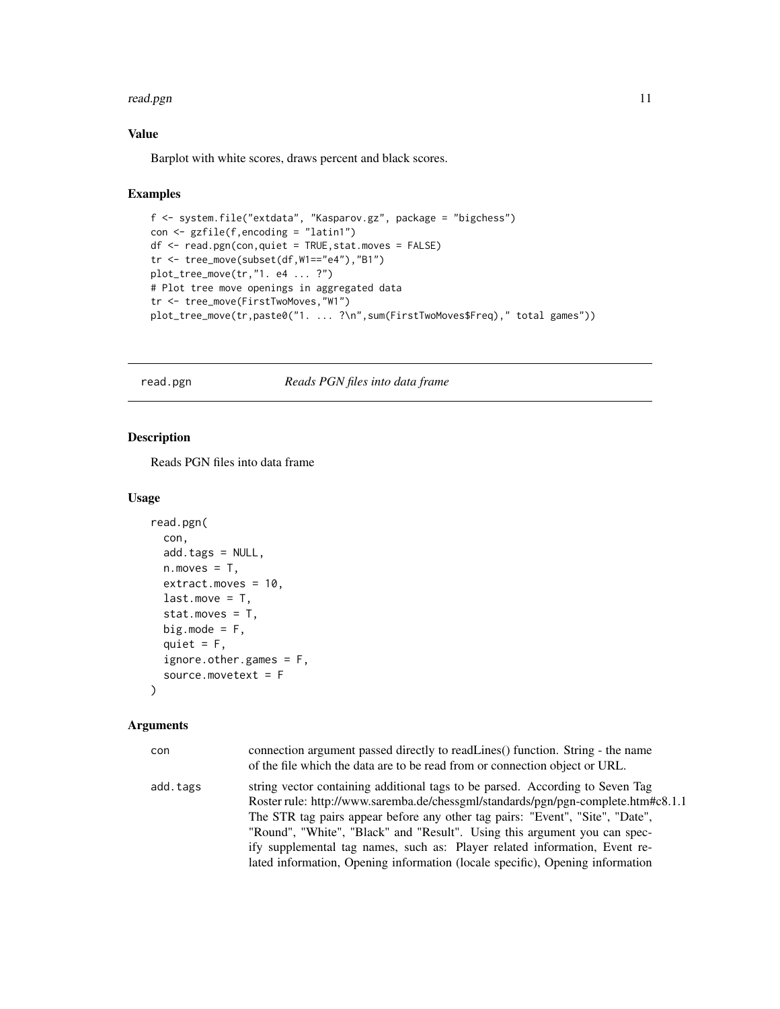#### <span id="page-10-0"></span>read.pgn 311 and 2012 11 and 2012 11 and 2012 12:00 12:00 12:00 12:00 12:00 12:00 12:00 12:00 12:00 12:00 12:0

#### Value

Barplot with white scores, draws percent and black scores.

#### Examples

```
f <- system.file("extdata", "Kasparov.gz", package = "bigchess")
con \leq gzfile(f, encoding = "latin1")
df <- read.pgn(con,quiet = TRUE,stat.moves = FALSE)
tr <- tree_move(subset(df,W1=="e4"),"B1")
plot_tree_move(tr,"1. e4 ... ?")
# Plot tree move openings in aggregated data
tr <- tree_move(FirstTwoMoves,"W1")
plot_tree_move(tr,paste0("1. ... ?\n",sum(FirstTwoMoves$Freq)," total games"))
```
read.pgn *Reads PGN files into data frame*

#### Description

Reads PGN files into data frame

#### Usage

```
read.pgn(
  con,
  add.tags = NULL,
 n.moves = T,
 extract.moves = 10,
 last.move = T,
  stat.moves = T,
 big.mode = F,
  quiet = F,
  ignore.other.games = F,
  source.movetext = F
\lambda
```

| con      | connection argument passed directly to readLines() function. String - the name<br>of the file which the data are to be read from or connection object or URL.                                                                                                                                                                                                                                                                                                                                   |
|----------|-------------------------------------------------------------------------------------------------------------------------------------------------------------------------------------------------------------------------------------------------------------------------------------------------------------------------------------------------------------------------------------------------------------------------------------------------------------------------------------------------|
| add.tags | string vector containing additional tags to be parsed. According to Seven Tag<br>Roster rule: http://www.saremba.de/chessgml/standards/pgn/pgn-complete.htm#c8.1.1<br>The STR tag pairs appear before any other tag pairs: "Event", "Site", "Date",<br>"Round", "White", "Black" and "Result". Using this argument you can spec-<br>ify supplemental tag names, such as: Player related information, Event re-<br>lated information, Opening information (locale specific), Opening information |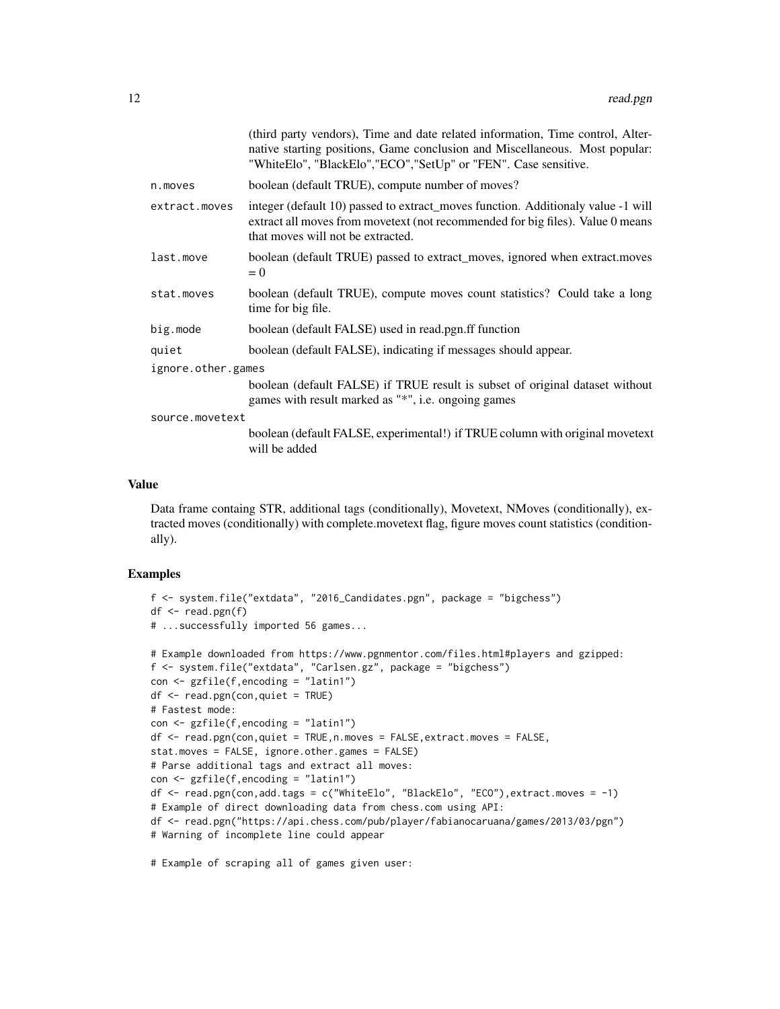|                    |               | (third party vendors), Time and date related information, Time control, Alter-<br>native starting positions, Game conclusion and Miscellaneous. Most popular:<br>"WhiteElo", "BlackElo", "ECO", "SetUp" or "FEN". Case sensitive. |
|--------------------|---------------|-----------------------------------------------------------------------------------------------------------------------------------------------------------------------------------------------------------------------------------|
|                    | n.moves       | boolean (default TRUE), compute number of moves?                                                                                                                                                                                  |
|                    | extract.moves | integer (default 10) passed to extract_moves function. Additionaly value -1 will<br>extract all moves from movetext (not recommended for big files). Value 0 means<br>that moves will not be extracted.                           |
|                    | last.move     | boolean (default TRUE) passed to extract_moves, ignored when extract.moves<br>$= 0$                                                                                                                                               |
|                    | stat.moves    | boolean (default TRUE), compute moves count statistics? Could take a long<br>time for big file.                                                                                                                                   |
|                    | big.mode      | boolean (default FALSE) used in read.pgn.ff function                                                                                                                                                                              |
|                    | quiet         | boolean (default FALSE), indicating if messages should appear.                                                                                                                                                                    |
| ignore.other.games |               |                                                                                                                                                                                                                                   |
|                    |               | boolean (default FALSE) if TRUE result is subset of original dataset without<br>games with result marked as "*", i.e. ongoing games                                                                                               |
| source.movetext    |               |                                                                                                                                                                                                                                   |
|                    |               | boolean (default FALSE, experimental!) if TRUE column with original movetext<br>will be added                                                                                                                                     |
|                    |               |                                                                                                                                                                                                                                   |

#### Value

Data frame containg STR, additional tags (conditionally), Movetext, NMoves (conditionally), extracted moves (conditionally) with complete.movetext flag, figure moves count statistics (conditionally).

#### Examples

```
f <- system.file("extdata", "2016_Candidates.pgn", package = "bigchess")
df \leftarrow \text{read.pgn}(f)# ...successfully imported 56 games...
# Example downloaded from https://www.pgnmentor.com/files.html#players and gzipped:
f <- system.file("extdata", "Carlsen.gz", package = "bigchess")
con <- gzfile(f,encoding = "latin1")
df <- read.pgn(con,quiet = TRUE)
# Fastest mode:
con < gzfile(f, encoding = "latin1")df <- read.pgn(con,quiet = TRUE,n.moves = FALSE,extract.moves = FALSE,
stat.moves = FALSE, ignore.other.games = FALSE)
# Parse additional tags and extract all moves:
con <- gzfile(f,encoding = "latin1")
df <- read.pgn(con,add.tags = c("WhiteElo", "BlackElo", "ECO"),extract.moves = -1)
# Example of direct downloading data from chess.com using API:
df <- read.pgn("https://api.chess.com/pub/player/fabianocaruana/games/2013/03/pgn")
# Warning of incomplete line could appear
```
# Example of scraping all of games given user: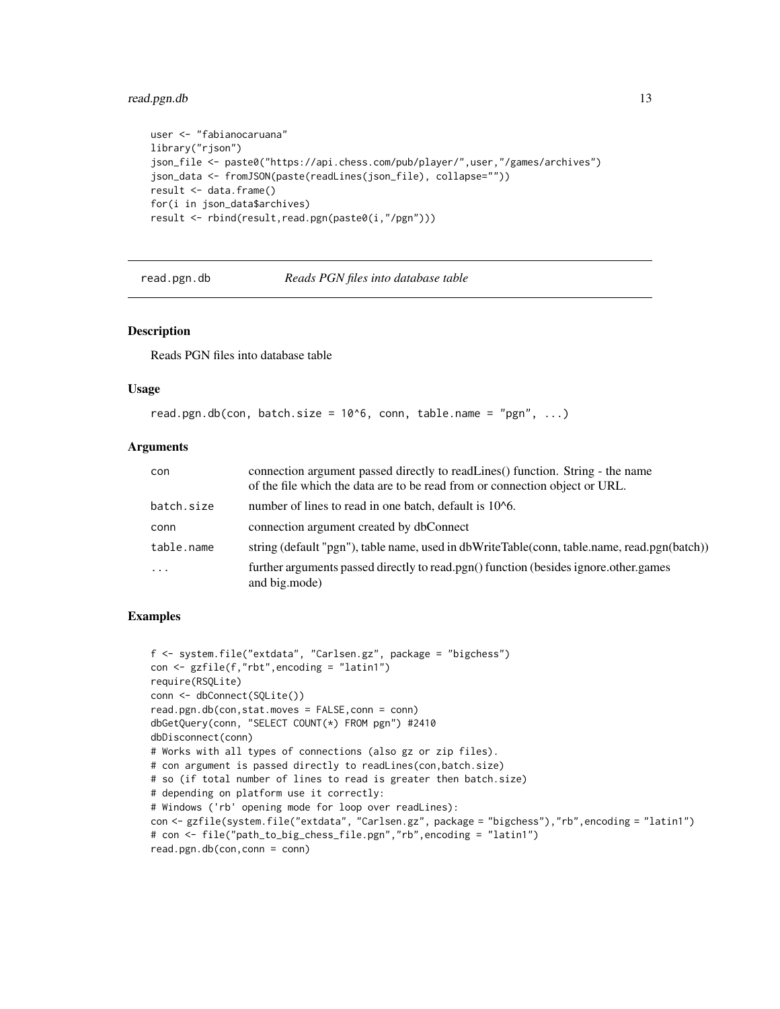### <span id="page-12-0"></span>read.pgn.db 13

```
user <- "fabianocaruana"
library("rjson")
json_file <- paste0("https://api.chess.com/pub/player/",user,"/games/archives")
json_data <- fromJSON(paste(readLines(json_file), collapse=""))
result <- data.frame()
for(i in json_data$archives)
result <- rbind(result,read.pgn(paste0(i,"/pgn")))
```
read.pgn.db *Reads PGN files into database table*

#### Description

Reads PGN files into database table

#### Usage

```
read.pgn.db(con, batch.size = 10^6, conn, table.name = "pgn", ...)
```
#### Arguments

| con        | connection argument passed directly to readLines() function. String - the name<br>of the file which the data are to be read from or connection object or URL. |
|------------|---------------------------------------------------------------------------------------------------------------------------------------------------------------|
| batch.size | number of lines to read in one batch, default is 10 <sup>o</sup> 6.                                                                                           |
| conn       | connection argument created by dbConnect                                                                                                                      |
| table.name | string (default "pgn"), table name, used in dbWriteTable(conn, table.name, read.pgn(batch))                                                                   |
| $\ddotsc$  | further arguments passed directly to read.pgn() function (besides ignore.other.games<br>and big.mode)                                                         |

```
f <- system.file("extdata", "Carlsen.gz", package = "bigchess")
con <- gzfile(f,"rbt",encoding = "latin1")
require(RSQLite)
conn <- dbConnect(SQLite())
read.pgn.db(con,stat.moves = FALSE,conn = conn)
dbGetQuery(conn, "SELECT COUNT(*) FROM pgn") #2410
dbDisconnect(conn)
# Works with all types of connections (also gz or zip files).
# con argument is passed directly to readLines(con,batch.size)
# so (if total number of lines to read is greater then batch.size)
# depending on platform use it correctly:
# Windows ('rb' opening mode for loop over readLines):
con <- gzfile(system.file("extdata", "Carlsen.gz", package = "bigchess"),"rb",encoding = "latin1")
# con <- file("path_to_big_chess_file.pgn","rb",encoding = "latin1")
read.pgn.db(con,conn = conn)
```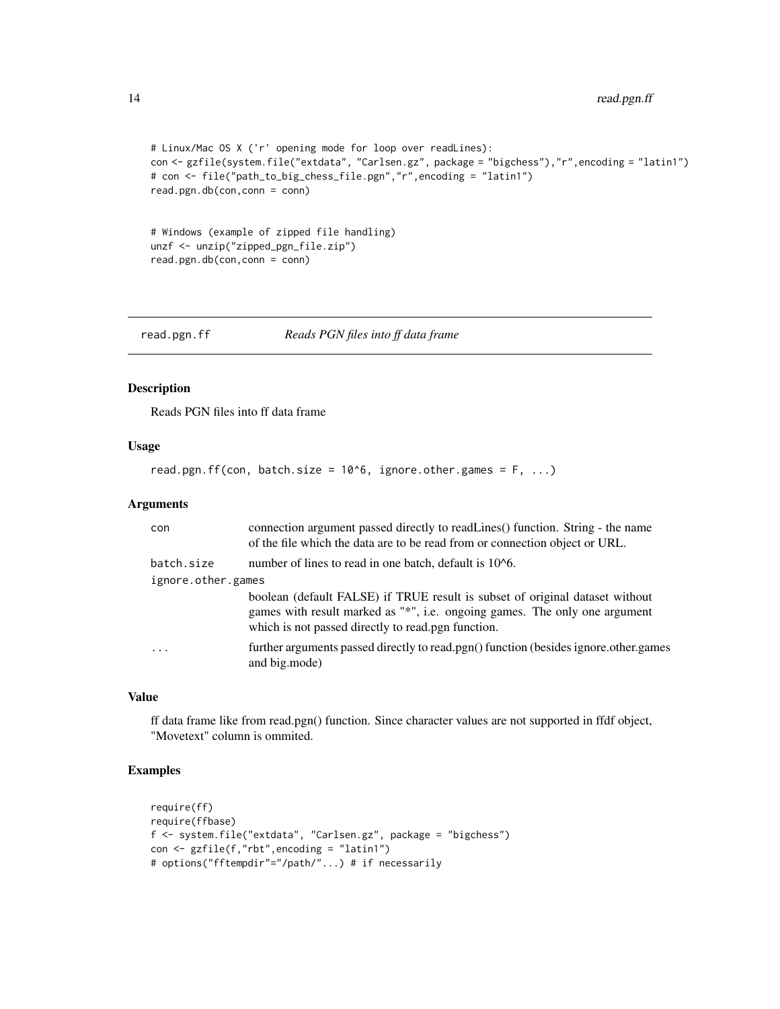```
# Linux/Mac OS X ('r' opening mode for loop over readLines):
con <- gzfile(system.file("extdata", "Carlsen.gz", package = "bigchess"),"r",encoding = "latin1")
# con <- file("path_to_big_chess_file.pgn","r",encoding = "latin1")
read.pgn.db(con,conn = conn)
```

```
# Windows (example of zipped file handling)
unzf <- unzip("zipped_pgn_file.zip")
read.pgn.db(con,conn = conn)
```
read.pgn.ff *Reads PGN files into ff data frame*

### Description

Reads PGN files into ff data frame

#### Usage

```
read.pgn.ff(con, batch.size = 10^6, ignore.other.games = F, ...)
```
#### Arguments

| con                | connection argument passed directly to readLines() function. String - the name<br>of the file which the data are to be read from or connection object or URL.                                                    |  |
|--------------------|------------------------------------------------------------------------------------------------------------------------------------------------------------------------------------------------------------------|--|
| batch.size         | number of lines to read in one batch, default is 10 <sup>1</sup> 6.                                                                                                                                              |  |
| ignore.other.games |                                                                                                                                                                                                                  |  |
|                    | boolean (default FALSE) if TRUE result is subset of original dataset without<br>games with result marked as "*", i.e. ongoing games. The only one argument<br>which is not passed directly to read.pgn function. |  |
| $\cdots$           | further arguments passed directly to read.pgn() function (besides ignore.other.games<br>and big.mode)                                                                                                            |  |

#### Value

ff data frame like from read.pgn() function. Since character values are not supported in ffdf object, "Movetext" column is ommited.

```
require(ff)
require(ffbase)
f <- system.file("extdata", "Carlsen.gz", package = "bigchess")
con <- gzfile(f,"rbt",encoding = "latin1")
# options("fftempdir"="/path/"...) # if necessarily
```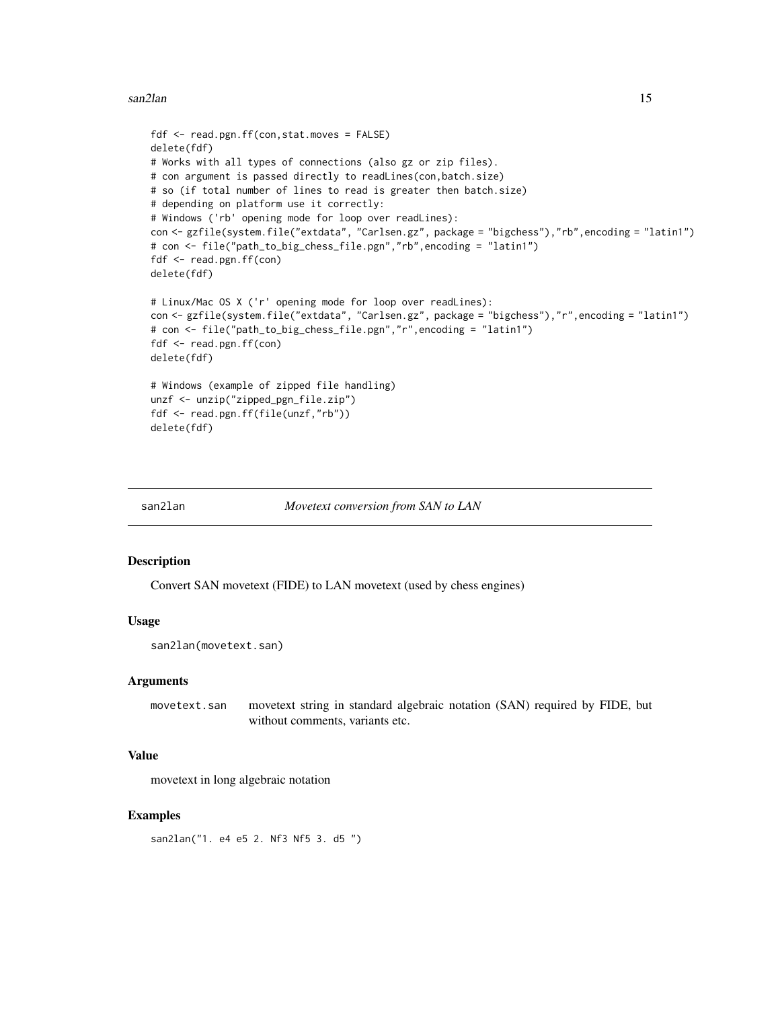#### <span id="page-14-0"></span>san2lan 15

```
fdf <- read.pgn.ff(con,stat.moves = FALSE)
delete(fdf)
# Works with all types of connections (also gz or zip files).
# con argument is passed directly to readLines(con,batch.size)
# so (if total number of lines to read is greater then batch.size)
# depending on platform use it correctly:
# Windows ('rb' opening mode for loop over readLines):
con <- gzfile(system.file("extdata", "Carlsen.gz", package = "bigchess"),"rb",encoding = "latin1")
# con <- file("path_to_big_chess_file.pgn","rb",encoding = "latin1")
fdf <- read.pgn.ff(con)
delete(fdf)
# Linux/Mac OS X ('r' opening mode for loop over readLines):
con <- gzfile(system.file("extdata", "Carlsen.gz", package = "bigchess"),"r",encoding = "latin1")
# con <- file("path_to_big_chess_file.pgn","r",encoding = "latin1")
fdf <- read.pgn.ff(con)
delete(fdf)
# Windows (example of zipped file handling)
unzf <- unzip("zipped_pgn_file.zip")
fdf <- read.pgn.ff(file(unzf,"rb"))
delete(fdf)
```
san2lan *Movetext conversion from SAN to LAN*

#### **Description**

Convert SAN movetext (FIDE) to LAN movetext (used by chess engines)

#### Usage

san2lan(movetext.san)

#### Arguments

movetext.san movetext string in standard algebraic notation (SAN) required by FIDE, but without comments, variants etc.

#### Value

movetext in long algebraic notation

#### Examples

san2lan("1. e4 e5 2. Nf3 Nf5 3. d5 ")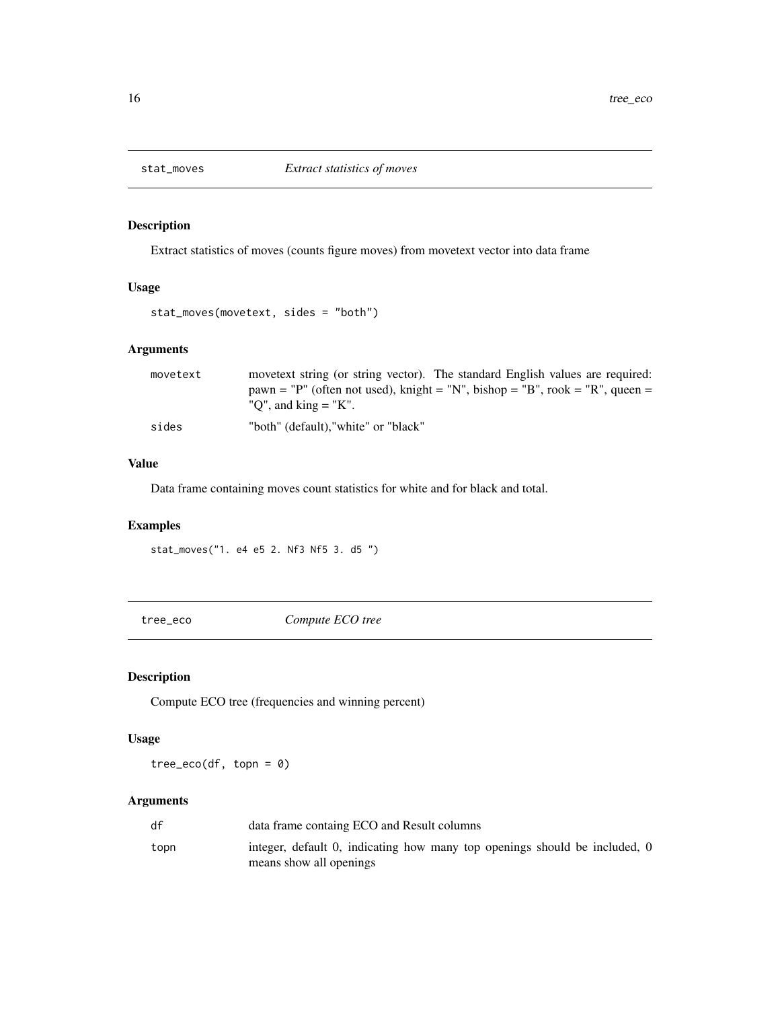<span id="page-15-0"></span>

Extract statistics of moves (counts figure moves) from movetext vector into data frame

# Usage

stat\_moves(movetext, sides = "both")

### Arguments

| movetext | movetext string (or string vector). The standard English values are required:<br>pawn = "P" (often not used), knight = "N", bishop = "B", rook = "R", queen =<br>"O", and $\text{king} = \text{``K".}$ |
|----------|--------------------------------------------------------------------------------------------------------------------------------------------------------------------------------------------------------|
| sides    | "both" (default), "white" or "black"                                                                                                                                                                   |

## Value

Data frame containing moves count statistics for white and for black and total.

# Examples

stat\_moves("1. e4 e5 2. Nf3 Nf5 3. d5 ")

tree\_eco *Compute ECO tree*

### Description

Compute ECO tree (frequencies and winning percent)

#### Usage

tree\_eco(df, topn = 0)

| df   | data frame containg ECO and Result columns                                                            |
|------|-------------------------------------------------------------------------------------------------------|
| topn | integer, default 0, indicating how many top openings should be included, 0<br>means show all openings |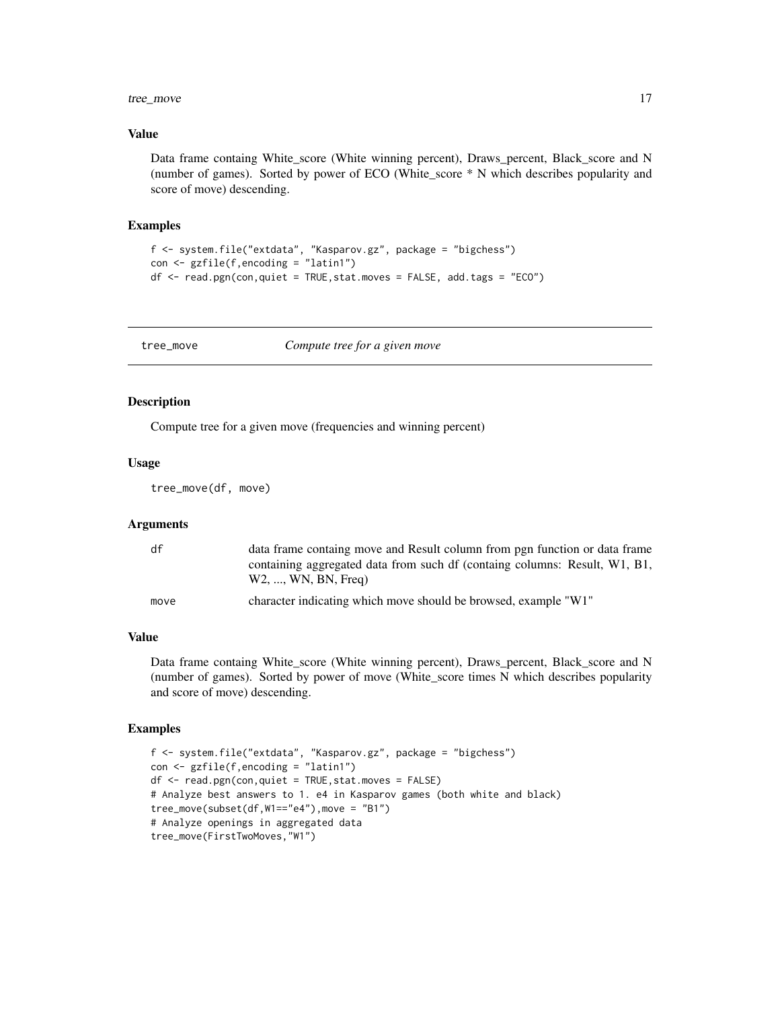### <span id="page-16-0"></span>tree\_move 17

#### Value

Data frame containg White\_score (White winning percent), Draws\_percent, Black\_score and N (number of games). Sorted by power of ECO (White\_score \* N which describes popularity and score of move) descending.

#### Examples

```
f <- system.file("extdata", "Kasparov.gz", package = "bigchess")
con <- gzfile(f,encoding = "latin1")
df \leq - read.pgn(con,quiet = TRUE, stat.moves = FALSE, add.tags = "ECO")
```
tree\_move *Compute tree for a given move*

#### Description

Compute tree for a given move (frequencies and winning percent)

#### Usage

tree\_move(df, move)

#### Arguments

| df   | data frame containg move and Result column from pgn function or data frame                        |
|------|---------------------------------------------------------------------------------------------------|
|      | containing aggregated data from such df (containg columns: Result, W1, B1,<br>W2, , WN, BN, Freq) |
| move | character indicating which move should be browsed, example "W1"                                   |

#### Value

Data frame containg White score (White winning percent), Draws percent, Black score and N (number of games). Sorted by power of move (White\_score times N which describes popularity and score of move) descending.

```
f <- system.file("extdata", "Kasparov.gz", package = "bigchess")
con <- gzfile(f,encoding = "latin1")
df \leq -{\text{read}}.\text{pgn}(\text{con},\text{quite} = \text{TRUE},\text{stat}.\text{moves} = \text{FALSE})# Analyze best answers to 1. e4 in Kasparov games (both white and black)
tree_move(subset(df,W1=="e4"),move = "B1")
# Analyze openings in aggregated data
tree_move(FirstTwoMoves,"W1")
```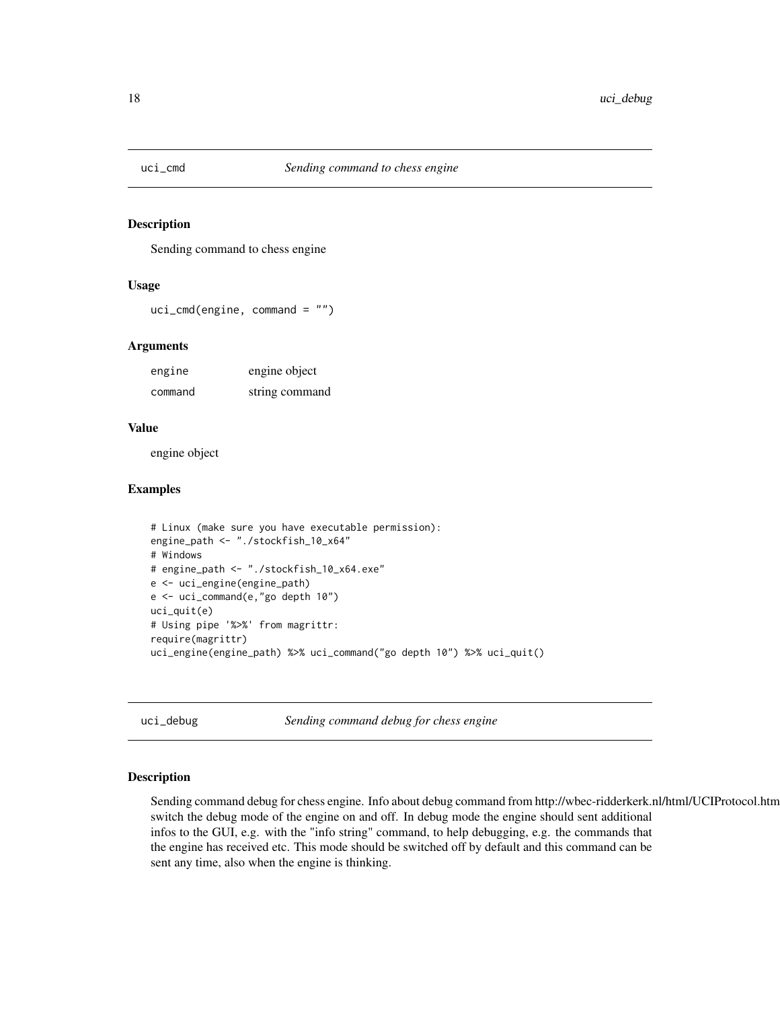<span id="page-17-0"></span>

Sending command to chess engine

#### Usage

```
uci_cmd(engine, command = "")
```
#### Arguments

| engine  | engine object  |
|---------|----------------|
| command | string command |

#### Value

engine object

#### Examples

```
# Linux (make sure you have executable permission):
engine_path <- "./stockfish_10_x64"
# Windows
# engine_path <- "./stockfish_10_x64.exe"
e <- uci_engine(engine_path)
e <- uci_command(e,"go depth 10")
uci_quit(e)
# Using pipe '%>%' from magrittr:
require(magrittr)
uci_engine(engine_path) %>% uci_command("go depth 10") %>% uci_quit()
```
uci\_debug *Sending command debug for chess engine*

### Description

Sending command debug for chess engine. Info about debug command from http://wbec-ridderkerk.nl/html/UCIProtocol.html switch the debug mode of the engine on and off. In debug mode the engine should sent additional infos to the GUI, e.g. with the "info string" command, to help debugging, e.g. the commands that the engine has received etc. This mode should be switched off by default and this command can be sent any time, also when the engine is thinking.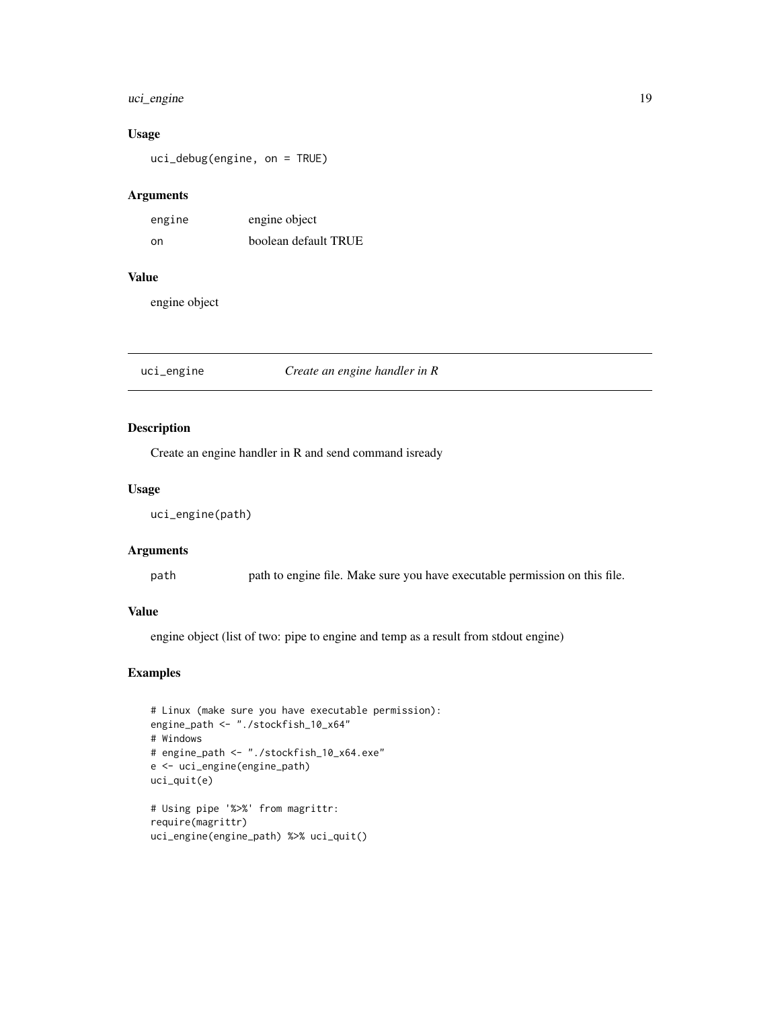### <span id="page-18-0"></span>uci\_engine 19

#### Usage

uci\_debug(engine, on = TRUE)

#### Arguments

| engine | engine object        |
|--------|----------------------|
| .on    | boolean default TRUE |

### Value

engine object

#### uci\_engine *Create an engine handler in R*

#### Description

Create an engine handler in R and send command isready

#### Usage

uci\_engine(path)

#### Arguments

path path to engine file. Make sure you have executable permission on this file.

#### Value

engine object (list of two: pipe to engine and temp as a result from stdout engine)

```
# Linux (make sure you have executable permission):
engine_path <- "./stockfish_10_x64"
# Windows
# engine_path <- "./stockfish_10_x64.exe"
e <- uci_engine(engine_path)
uci_quit(e)
# Using pipe '%>%' from magrittr:
require(magrittr)
uci_engine(engine_path) %>% uci_quit()
```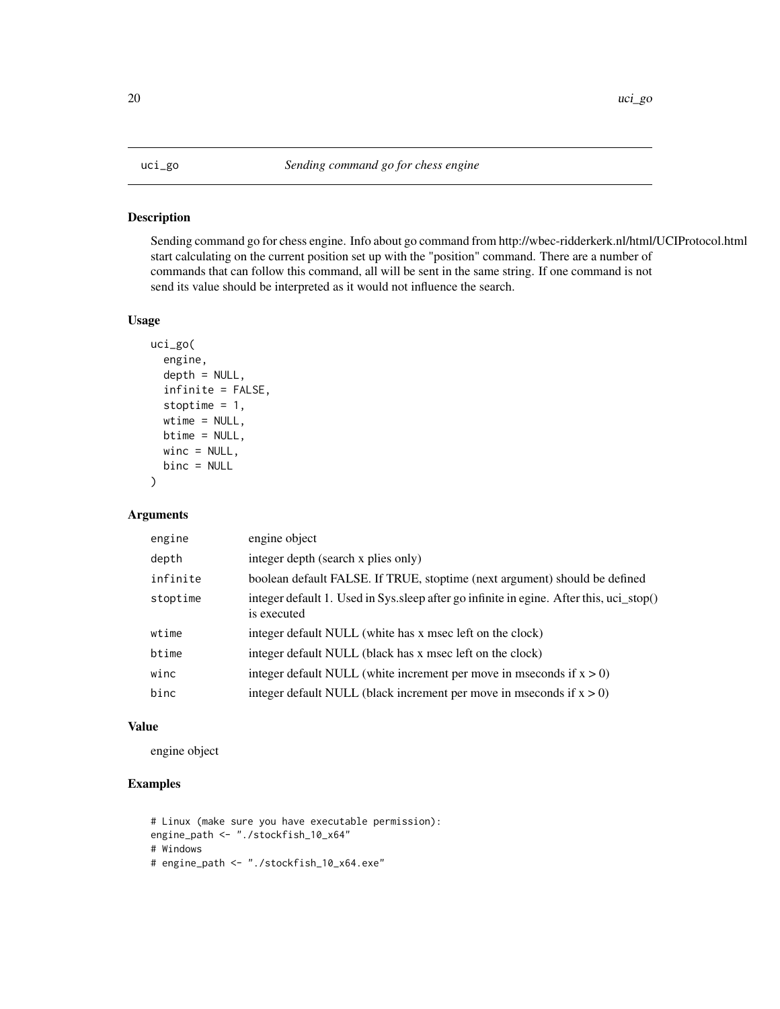<span id="page-19-0"></span>Sending command go for chess engine. Info about go command from http://wbec-ridderkerk.nl/html/UCIProtocol.html start calculating on the current position set up with the "position" command. There are a number of commands that can follow this command, all will be sent in the same string. If one command is not send its value should be interpreted as it would not influence the search.

### Usage

```
uci_go(
  engine,
  depth = NULL,
  infinite = FALSE,
  stoptime = 1,
  wtime = NULL,btime = NULL,
 winc = NULL,
 binc = NULL
)
```
#### Arguments

| engine   | engine object                                                                                           |
|----------|---------------------------------------------------------------------------------------------------------|
| depth    | integer depth (search x plies only)                                                                     |
| infinite | boolean default FALSE. If TRUE, stoptime (next argument) should be defined                              |
| stoptime | integer default 1. Used in Sys. sleep after go infinite in egine. After this, uci_stop()<br>is executed |
| wtime    | integer default NULL (white has x msec left on the clock)                                               |
| btime    | integer default NULL (black has x msec left on the clock)                                               |
| winc     | integer default NULL (white increment per move in mseconds if $x > 0$ )                                 |
| binc     | integer default NULL (black increment per move in mseconds if $x > 0$ )                                 |

#### Value

engine object

```
# Linux (make sure you have executable permission):
engine_path <- "./stockfish_10_x64"
# Windows
# engine_path <- "./stockfish_10_x64.exe"
```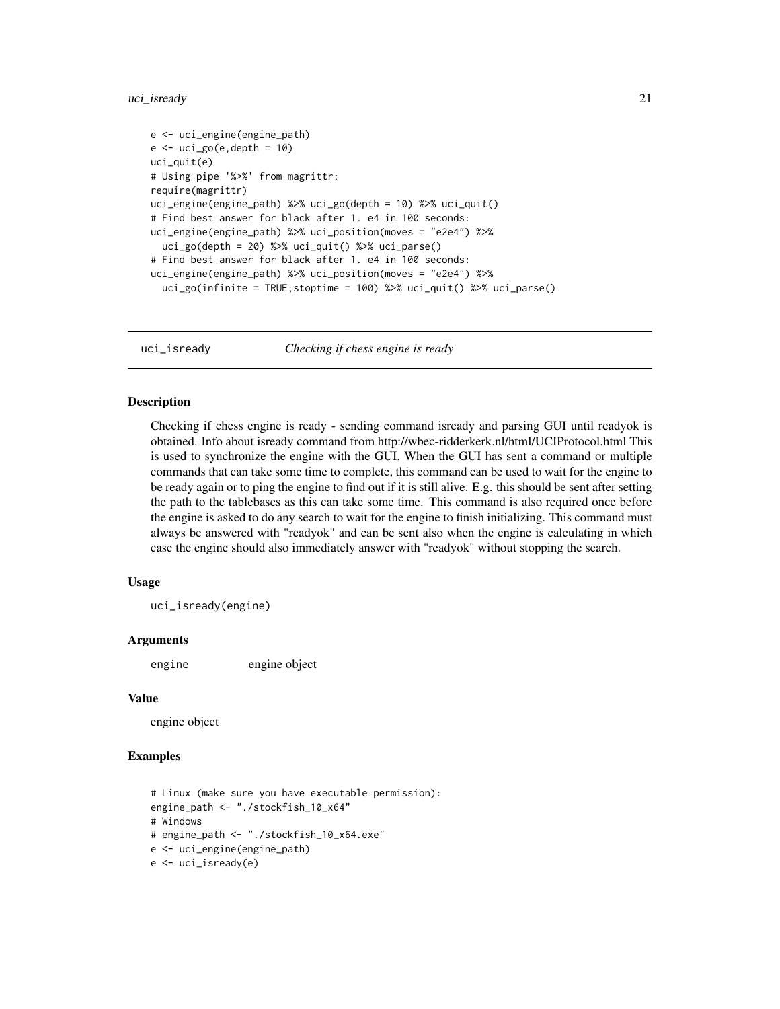#### <span id="page-20-0"></span>uci\_isready 21

```
e <- uci_engine(engine_path)
e \leftarrow uci_go(e, depth = 10)uci_quit(e)
# Using pipe '%>%' from magrittr:
require(magrittr)
uci_engine(engine_path) %>% uci_go(depth = 10) %>% uci_quit()
# Find best answer for black after 1. e4 in 100 seconds:
uci_engine(engine_path) %>% uci_position(moves = "e2e4") %>%
 uci_go(depth = 20) %>% uci_guit() %>% uci_parse()# Find best answer for black after 1. e4 in 100 seconds:
uci_engine(engine_path) %>% uci_position(moves = "e2e4") %>%
 uci_go(infinite = TRUE,stoptime = 100) %>% uci_quit() %>% uci_parse()
```
uci\_isready *Checking if chess engine is ready*

### Description

Checking if chess engine is ready - sending command isready and parsing GUI until readyok is obtained. Info about isready command from http://wbec-ridderkerk.nl/html/UCIProtocol.html This is used to synchronize the engine with the GUI. When the GUI has sent a command or multiple commands that can take some time to complete, this command can be used to wait for the engine to be ready again or to ping the engine to find out if it is still alive. E.g. this should be sent after setting the path to the tablebases as this can take some time. This command is also required once before the engine is asked to do any search to wait for the engine to finish initializing. This command must always be answered with "readyok" and can be sent also when the engine is calculating in which case the engine should also immediately answer with "readyok" without stopping the search.

#### Usage

uci\_isready(engine)

#### Arguments

engine engine object

#### Value

engine object

```
# Linux (make sure you have executable permission):
engine_path <- "./stockfish_10_x64"
# Windows
# engine_path <- "./stockfish_10_x64.exe"
e <- uci_engine(engine_path)
e <- uci_isready(e)
```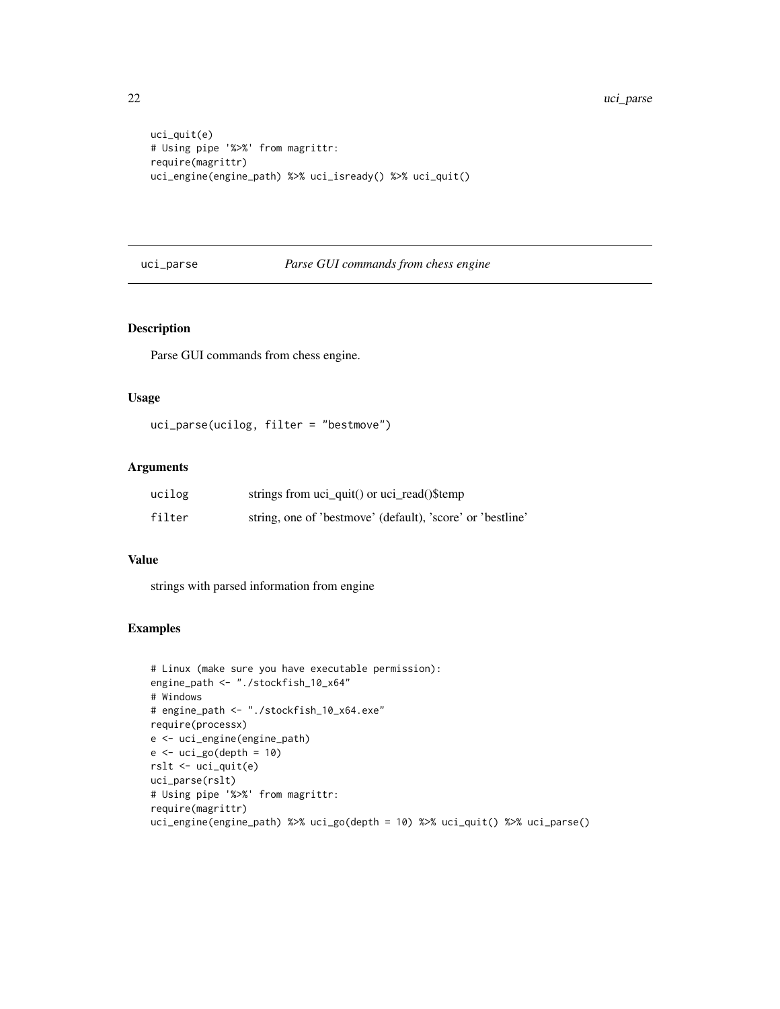```
uci_quit(e)
# Using pipe '%>%' from magrittr:
require(magrittr)
uci_engine(engine_path) %>% uci_isready() %>% uci_quit()
```
#### uci\_parse *Parse GUI commands from chess engine*

### Description

Parse GUI commands from chess engine.

#### Usage

```
uci_parse(ucilog, filter = "bestmove")
```
#### Arguments

| ucilog | strings from uci_quit() or uci_read()\$temp                |
|--------|------------------------------------------------------------|
| filter | string, one of 'bestmove' (default), 'score' or 'bestline' |

#### Value

strings with parsed information from engine

```
# Linux (make sure you have executable permission):
engine_path <- "./stockfish_10_x64"
# Windows
# engine_path <- "./stockfish_10_x64.exe"
require(processx)
e <- uci_engine(engine_path)
e \leftarrow uci_go(depth = 10)rslt <- uci_quit(e)
uci_parse(rslt)
# Using pipe '%>%' from magrittr:
require(magrittr)
uci_engine(engine_path) %>% uci_go(depth = 10) %>% uci_quit() %>% uci_parse()
```
<span id="page-21-0"></span>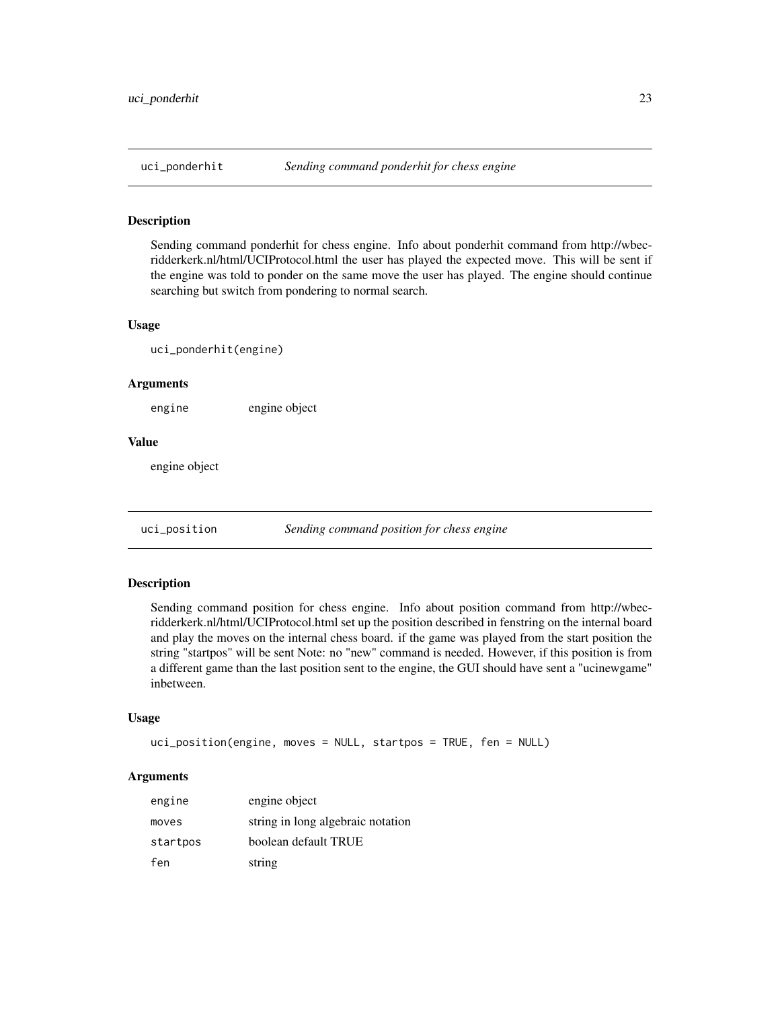<span id="page-22-0"></span>

Sending command ponderhit for chess engine. Info about ponderhit command from http://wbecridderkerk.nl/html/UCIProtocol.html the user has played the expected move. This will be sent if the engine was told to ponder on the same move the user has played. The engine should continue searching but switch from pondering to normal search.

#### Usage

uci\_ponderhit(engine)

#### Arguments

engine engine object

#### Value

engine object

uci\_position *Sending command position for chess engine*

#### Description

Sending command position for chess engine. Info about position command from http://wbecridderkerk.nl/html/UCIProtocol.html set up the position described in fenstring on the internal board and play the moves on the internal chess board. if the game was played from the start position the string "startpos" will be sent Note: no "new" command is needed. However, if this position is from a different game than the last position sent to the engine, the GUI should have sent a "ucinewgame" inbetween.

#### Usage

```
uci_position(engine, moves = NULL, startpos = TRUE, fen = NULL)
```

| engine   | engine object                     |
|----------|-----------------------------------|
| moves    | string in long algebraic notation |
| startpos | boolean default TRUE              |
| fen      | string                            |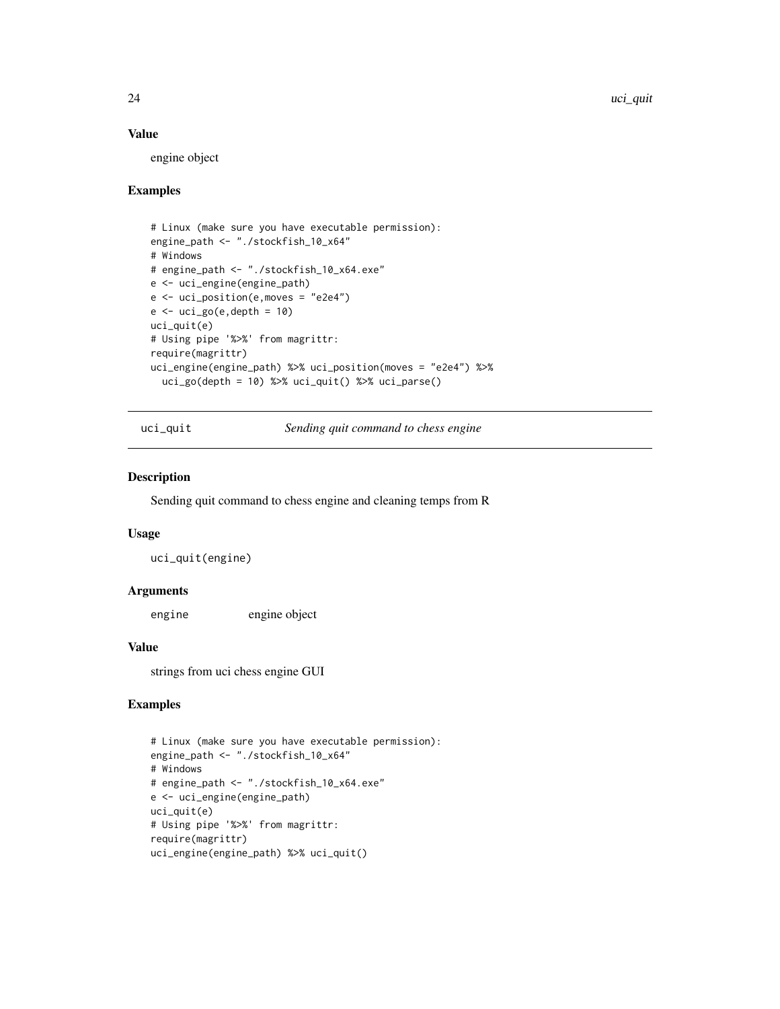24 uci\_quit example of the contract of the contract of the contract of the contract of the contract of the contract of the contract of the contract of the contract of the contract of the contract of the contract of the con

#### Value

engine object

#### Examples

```
# Linux (make sure you have executable permission):
engine_path <- "./stockfish_10_x64"
# Windows
# engine_path <- "./stockfish_10_x64.exe"
e <- uci_engine(engine_path)
e <- uci_position(e,moves = "e2e4")
e \leftarrow uci_go(e, depth = 10)uci_quit(e)
# Using pipe '%>%' from magrittr:
require(magrittr)
uci_engine(engine_path) %>% uci_position(moves = "e2e4") %>%
  uci_go(depth = 10) %>% uci_quit() %>% uci_parse()
```
uci\_quit *Sending quit command to chess engine*

#### Description

Sending quit command to chess engine and cleaning temps from R

#### Usage

uci\_quit(engine)

#### Arguments

engine engine object

#### Value

strings from uci chess engine GUI

```
# Linux (make sure you have executable permission):
engine_path <- "./stockfish_10_x64"
# Windows
# engine_path <- "./stockfish_10_x64.exe"
e <- uci_engine(engine_path)
uci_quit(e)
# Using pipe '%>%' from magrittr:
require(magrittr)
uci_engine(engine_path) %>% uci_quit()
```
<span id="page-23-0"></span>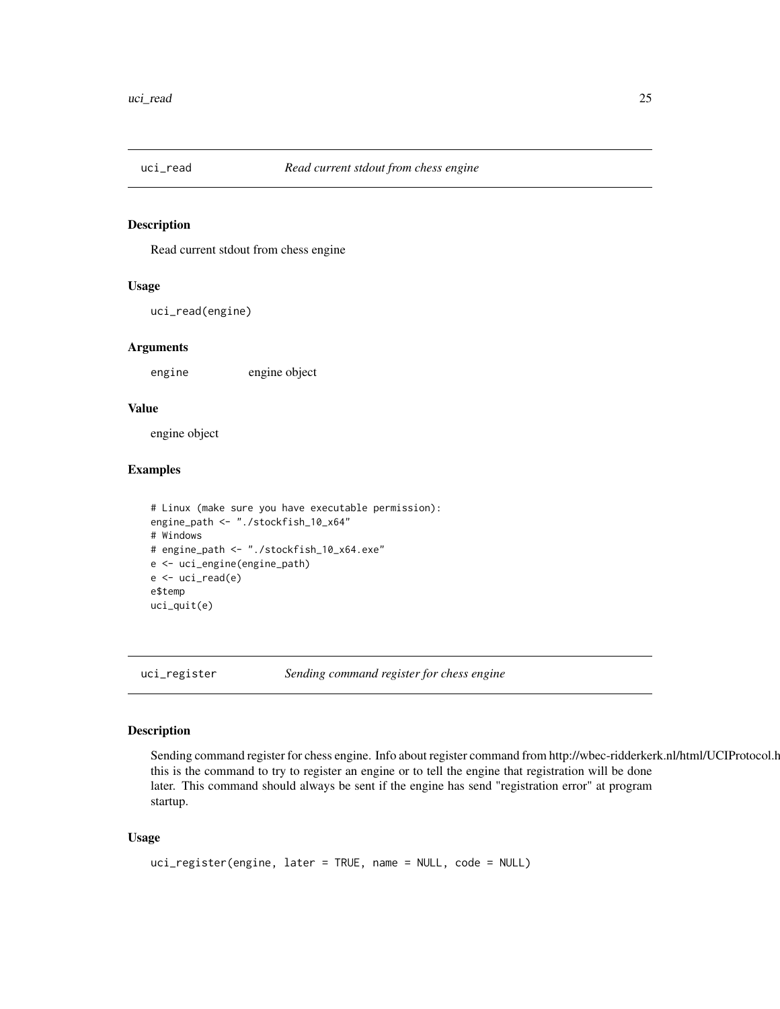<span id="page-24-0"></span>

Read current stdout from chess engine

#### Usage

uci\_read(engine)

#### Arguments

engine engine object

#### Value

engine object

#### Examples

```
# Linux (make sure you have executable permission):
engine_path <- "./stockfish_10_x64"
# Windows
# engine_path <- "./stockfish_10_x64.exe"
e <- uci_engine(engine_path)
e \leftarrow uci_read(e)e$temp
uci_quit(e)
```
uci\_register *Sending command register for chess engine*

### Description

Sending command register for chess engine. Info about register command from http://wbec-ridderkerk.nl/html/UCIProtocol.html this is the command to try to register an engine or to tell the engine that registration will be done later. This command should always be sent if the engine has send "registration error" at program startup.

#### Usage

```
uci_register(engine, later = TRUE, name = NULL, code = NULL)
```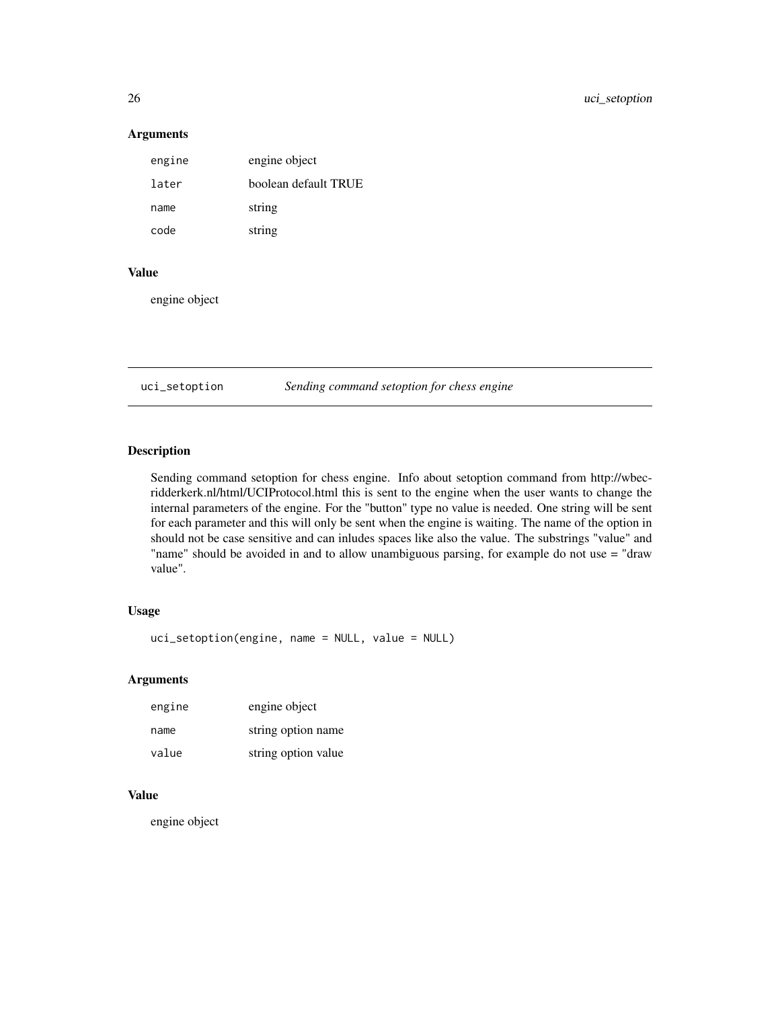#### Arguments

| engine | engine object        |
|--------|----------------------|
| later  | boolean default TRUE |
| name   | string               |
| code   | string               |

#### Value

engine object

uci\_setoption *Sending command setoption for chess engine*

#### Description

Sending command setoption for chess engine. Info about setoption command from http://wbecridderkerk.nl/html/UCIProtocol.html this is sent to the engine when the user wants to change the internal parameters of the engine. For the "button" type no value is needed. One string will be sent for each parameter and this will only be sent when the engine is waiting. The name of the option in should not be case sensitive and can inludes spaces like also the value. The substrings "value" and "name" should be avoided in and to allow unambiguous parsing, for example do not use = "draw value".

#### Usage

```
uci_setoption(engine, name = NULL, value = NULL)
```
#### Arguments

| engine | engine object       |
|--------|---------------------|
| name   | string option name  |
| value  | string option value |

#### Value

engine object

<span id="page-25-0"></span>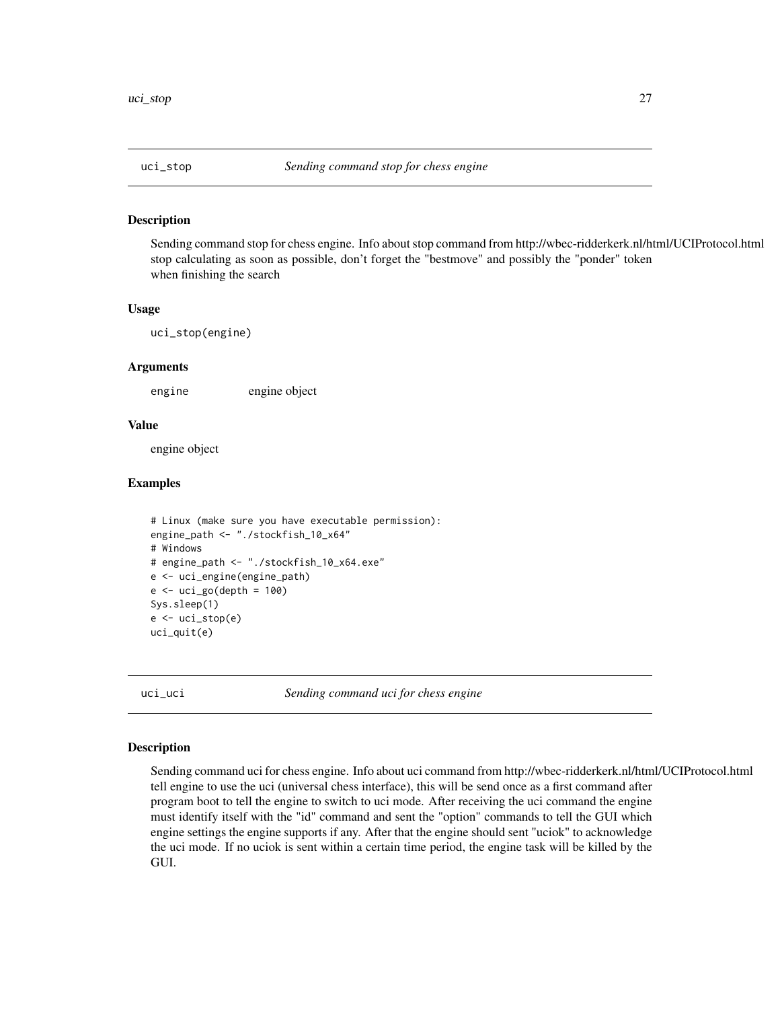<span id="page-26-0"></span>

Sending command stop for chess engine. Info about stop command from http://wbec-ridderkerk.nl/html/UCIProtocol.html stop calculating as soon as possible, don't forget the "bestmove" and possibly the "ponder" token when finishing the search

#### Usage

uci\_stop(engine)

#### Arguments

engine engine object

#### Value

engine object

#### Examples

```
# Linux (make sure you have executable permission):
engine_path <- "./stockfish_10_x64"
# Windows
# engine_path <- "./stockfish_10_x64.exe"
e <- uci_engine(engine_path)
e <- uci_go(depth = 100)Sys.sleep(1)
e <- uci_stop(e)
uci_quit(e)
```
uci\_uci *Sending command uci for chess engine*

#### Description

Sending command uci for chess engine. Info about uci command from http://wbec-ridderkerk.nl/html/UCIProtocol.html tell engine to use the uci (universal chess interface), this will be send once as a first command after program boot to tell the engine to switch to uci mode. After receiving the uci command the engine must identify itself with the "id" command and sent the "option" commands to tell the GUI which engine settings the engine supports if any. After that the engine should sent "uciok" to acknowledge the uci mode. If no uciok is sent within a certain time period, the engine task will be killed by the GUI.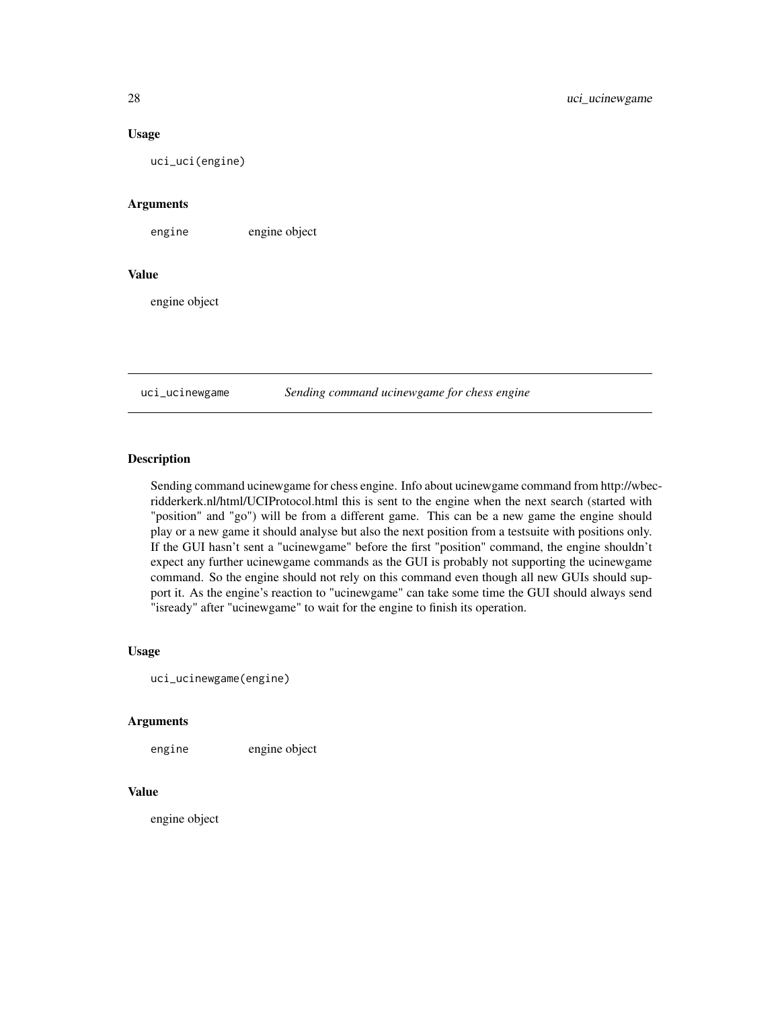#### Usage

uci\_uci(engine)

#### Arguments

engine engine object

#### Value

engine object

uci\_ucinewgame *Sending command ucinewgame for chess engine*

#### Description

Sending command ucinewgame for chess engine. Info about ucinewgame command from http://wbecridderkerk.nl/html/UCIProtocol.html this is sent to the engine when the next search (started with "position" and "go") will be from a different game. This can be a new game the engine should play or a new game it should analyse but also the next position from a testsuite with positions only. If the GUI hasn't sent a "ucinewgame" before the first "position" command, the engine shouldn't expect any further ucinewgame commands as the GUI is probably not supporting the ucinewgame command. So the engine should not rely on this command even though all new GUIs should support it. As the engine's reaction to "ucinewgame" can take some time the GUI should always send "isready" after "ucinewgame" to wait for the engine to finish its operation.

#### Usage

```
uci_ucinewgame(engine)
```
#### Arguments

engine engine object

# Value

engine object

<span id="page-27-0"></span>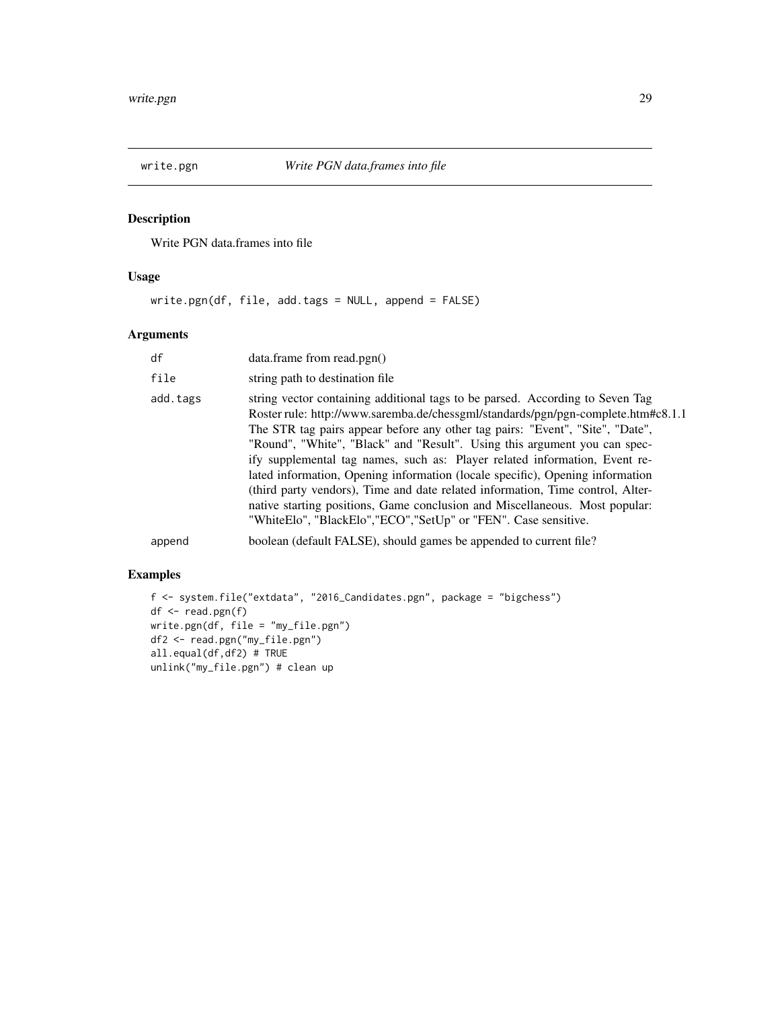<span id="page-28-0"></span>

Write PGN data.frames into file

### Usage

write.pgn(df, file, add.tags = NULL, append = FALSE)

### Arguments

| df       | data.frame from read.pgn()                                                                                                                                                                                                                                                                                                                                                                                                                                                                                                                                                                                                                                                                                                           |
|----------|--------------------------------------------------------------------------------------------------------------------------------------------------------------------------------------------------------------------------------------------------------------------------------------------------------------------------------------------------------------------------------------------------------------------------------------------------------------------------------------------------------------------------------------------------------------------------------------------------------------------------------------------------------------------------------------------------------------------------------------|
| file     | string path to destination file                                                                                                                                                                                                                                                                                                                                                                                                                                                                                                                                                                                                                                                                                                      |
| add.tags | string vector containing additional tags to be parsed. According to Seven Tag<br>Roster rule: http://www.saremba.de/chessgml/standards/pgn/pgn-complete.htm#c8.1.1<br>The STR tag pairs appear before any other tag pairs: "Event", "Site", "Date",<br>"Round", "White", "Black" and "Result". Using this argument you can spec-<br>ify supplemental tag names, such as: Player related information, Event re-<br>lated information, Opening information (locale specific), Opening information<br>(third party vendors), Time and date related information, Time control, Alter-<br>native starting positions, Game conclusion and Miscellaneous. Most popular:<br>"WhiteElo", "BlackElo", "ECO", "SetUp" or "FEN". Case sensitive. |
| append   | boolean (default FALSE), should games be appended to current file?                                                                                                                                                                                                                                                                                                                                                                                                                                                                                                                                                                                                                                                                   |

```
f <- system.file("extdata", "2016_Candidates.pgn", package = "bigchess")
df <- read.pgn(f)
write.pgn(df, file = "my_file.pgn")
df2 <- read.pgn("my_file.pgn")
all.equal(df,df2) # TRUE
unlink("my_file.pgn") # clean up
```